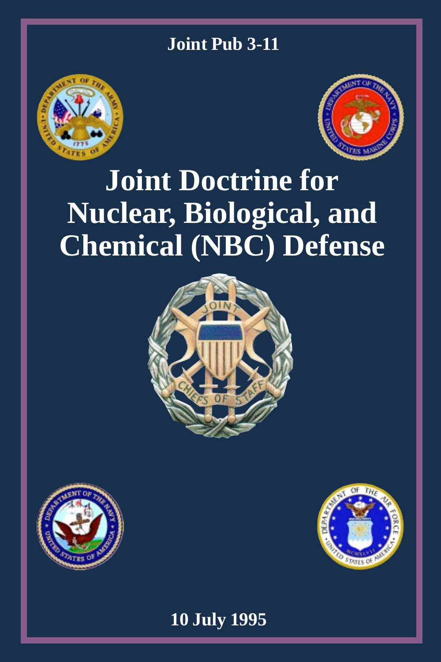## **Joint Pub 3-11**





# **Joint Doctrine for Nuclear, Biological, and Chemical (NBC) Defense**







### **10 July 1995**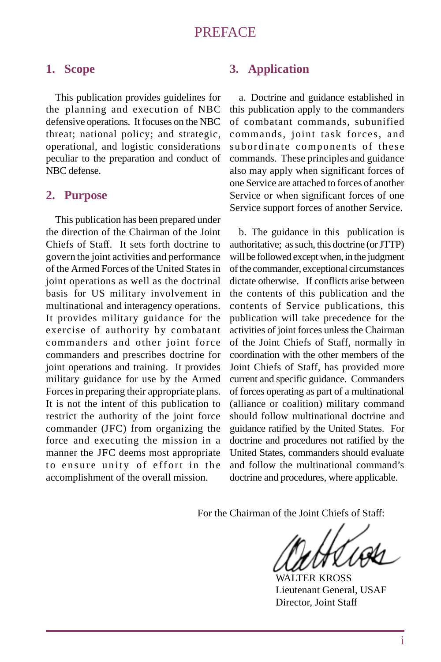#### **1. Scope**

This publication provides guidelines for the planning and execution of NBC defensive operations. It focuses on the NBC threat; national policy; and strategic, operational, and logistic considerations peculiar to the preparation and conduct of NBC defense.

#### **2. Purpose**

This publication has been prepared under the direction of the Chairman of the Joint Chiefs of Staff. It sets forth doctrine to govern the joint activities and performance of the Armed Forces of the United States in joint operations as well as the doctrinal basis for US military involvement in multinational and interagency operations. It provides military guidance for the exercise of authority by combatant commanders and other joint force commanders and prescribes doctrine for joint operations and training. It provides military guidance for use by the Armed Forces in preparing their appropriate plans. It is not the intent of this publication to restrict the authority of the joint force commander (JFC) from organizing the force and executing the mission in a manner the JFC deems most appropriate to ensure unity of effort in the accomplishment of the overall mission.

#### **3. Application**

a. Doctrine and guidance established in this publication apply to the commanders of combatant commands, subunified commands, joint task forces, and subordinate components of these commands. These principles and guidance also may apply when significant forces of one Service are attached to forces of another Service or when significant forces of one Service support forces of another Service.

b. The guidance in this publication is authoritative; as such, this doctrine (or JTTP) will be followed except when, in the judgment of the commander, exceptional circumstances dictate otherwise. If conflicts arise between the contents of this publication and the contents of Service publications, this publication will take precedence for the activities of joint forces unless the Chairman of the Joint Chiefs of Staff, normally in coordination with the other members of the Joint Chiefs of Staff, has provided more current and specific guidance. Commanders of forces operating as part of a multinational (alliance or coalition) military command should follow multinational doctrine and guidance ratified by the United States. For doctrine and procedures not ratified by the United States, commanders should evaluate and follow the multinational command's doctrine and procedures, where applicable.

For the Chairman of the Joint Chiefs of Staff:

WALTER KROSS Lieutenant General, USAF Director, Joint Staff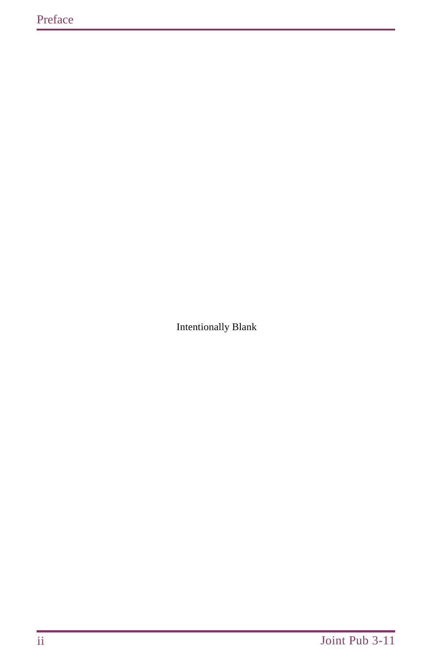Intentionally Blank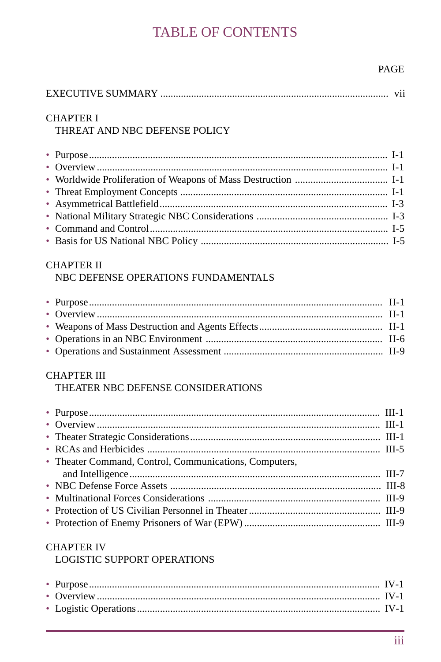### TABLE OF CONTENTS

| <b>CHAPTER I</b><br>THREAT AND NBC DEFENSE POLICY        |  |  |  |  |
|----------------------------------------------------------|--|--|--|--|
| ۰                                                        |  |  |  |  |
| <b>CHAPTER II</b><br>NBC DEFENSE OPERATIONS FUNDAMENTALS |  |  |  |  |
|                                                          |  |  |  |  |
| <b>CHAPTER III</b><br>THEATER NBC DEFENSE CONSIDERATIONS |  |  |  |  |
| • Theater Command, Control, Communications, Computers,   |  |  |  |  |

#### **CHAPTER IV**

#### LOGISTIC SUPPORT OPERATIONS

 $\mathop{\mathrm{PAGE}}$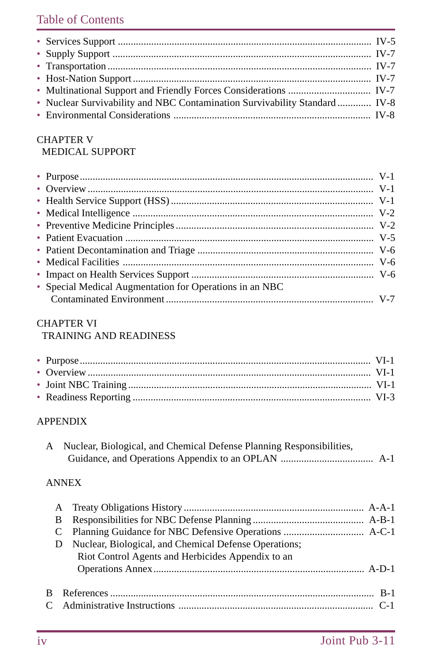#### Table of Contents

| • Nuclear Survivability and NBC Contamination Survivability Standard  IV-8 |  |
|----------------------------------------------------------------------------|--|
|                                                                            |  |
|                                                                            |  |

### CHAPTER V

#### [MEDICAL SUPPORT](#page-53-0)

| • Special Medical Augmentation for Operations in an NBC |  |
|---------------------------------------------------------|--|
|                                                         |  |

#### CHAPTER VI

#### TRAINING AND READINESS

#### APPENDIX

| A Nuclear, Biological, and Chemical Defense Planning Responsibilities, |  |  |  |
|------------------------------------------------------------------------|--|--|--|
|                                                                        |  |  |  |

#### ANNEX

| B |                                                       |  |
|---|-------------------------------------------------------|--|
|   |                                                       |  |
| D | Nuclear, Biological, and Chemical Defense Operations; |  |
|   | Riot Control Agents and Herbicides Appendix to an     |  |
|   |                                                       |  |
|   |                                                       |  |
|   |                                                       |  |
|   |                                                       |  |
|   |                                                       |  |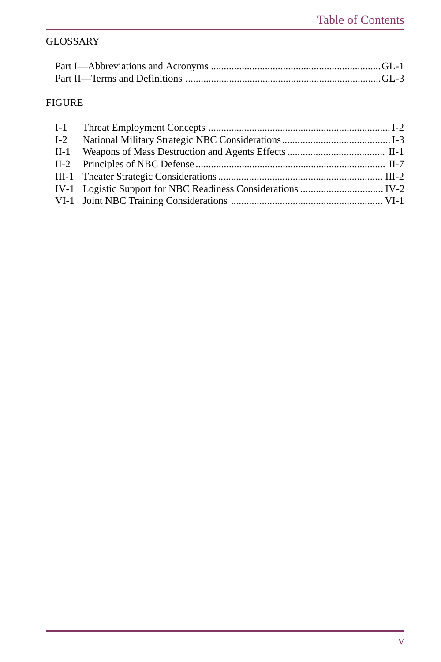|  |  | <b>Table of Contents</b> |
|--|--|--------------------------|
|  |  |                          |

#### G[LOSSARY](#page-40-0)

#### FIGURE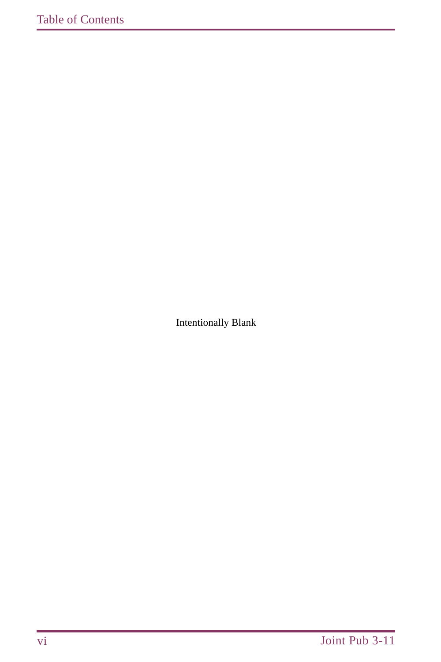Intentionally Blank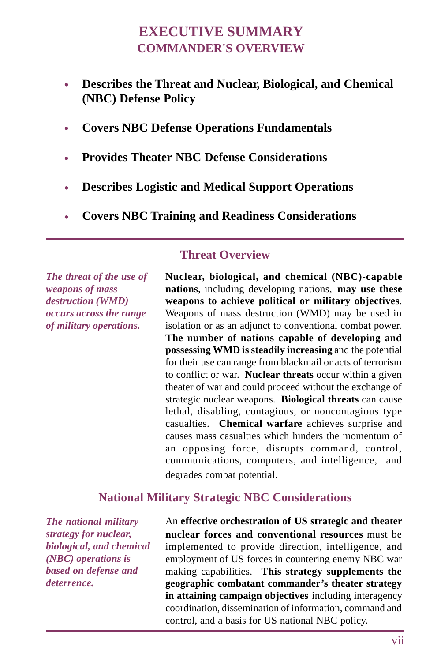#### **EXECUTIVE SUMMARY COMMANDER'S OVERVIEW**

- **• Describes the Threat and Nuclear, Biological, and Chemical (NBC) Defense Policy**
- **• Covers NBC Defense Operations Fundamentals**
- **• Provides Theater NBC Defense Considerations**
- **• Describes Logistic and Medical Support Operations**
- **• Covers NBC Training and Readiness Considerations**

*The threat of the use of weapons of mass destruction (WMD) occurs across the range of military operations.*

#### **Threat Overview**

**Nuclear, biological, and chemical (NBC)-capable nations**, including developing nations, **may use these weapons to achieve political or military objectives**. Weapons of mass destruction (WMD) may be used in isolation or as an adjunct to conventional combat power. **The number of nations capable of developing and possessing WMD is steadily increasing** and the potential for their use can range from blackmail or acts of terrorism to conflict or war. **Nuclear threats** occur within a given theater of war and could proceed without the exchange of strategic nuclear weapons. **Biological threats** can cause lethal, disabling, contagious, or noncontagious type casualties. **Chemical warfare** achieves surprise and causes mass casualties which hinders the momentum of an opposing force, disrupts command, control, communications, computers, and intelligence, and degrades combat potential.

#### **National Military Strategic NBC Considerations**

*The national military strategy for nuclear, biological, and chemical (NBC) operations is based on defense and deterrence.*

An **effective orchestration of US strategic and theater nuclear forces and conventional resources** must be implemented to provide direction, intelligence, and employment of US forces in countering enemy NBC war making capabilities. **This strategy supplements the geographic combatant commander's theater strategy in attaining campaign objectives** including interagency coordination, dissemination of information, command and control, and a basis for US national NBC policy.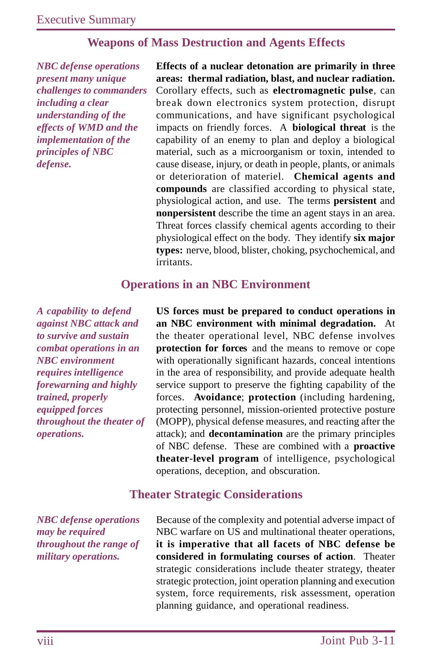#### **Weapons of Mass Destruction and Agents Effects**

*NBC defense operations present many unique challenges to commanders including a clear understanding of the effects of WMD and the implementation of the principles of NBC defense.*

**Effects of a nuclear detonation are primarily in three areas: thermal radiation, blast, and nuclear radiation.** Corollary effects, such as **electromagnetic pulse**, can break down electronics system protection, disrupt communications, and have significant psychological impacts on friendly forces. A **biological threat** is the capability of an enemy to plan and deploy a biological material, such as a microorganism or toxin, intended to cause disease, injury, or death in people, plants, or animals or deterioration of materiel. **Chemical agents and compounds** are classified according to physical state, physiological action, and use. The terms **persistent** and **nonpersistent** describe the time an agent stays in an area. Threat forces classify chemical agents according to their physiological effect on the body. They identify **six major types:** nerve, blood, blister, choking, psychochemical, and irritants.

#### **Operations in an NBC Environment**

*A capability to defend against NBC attack and to survive and sustain combat operations in an NBC environment requires intelligence forewarning and highly trained, properly equipped forces throughout the theater of operations.*

**US forces must be prepared to conduct operations in an NBC environment with minimal degradation.** At the theater operational level, NBC defense involves **protection for forces** and the means to remove or cope with operationally significant hazards, conceal intentions in the area of responsibility, and provide adequate health service support to preserve the fighting capability of the forces. **Avoidance**; **protection** (including hardening, protecting personnel, mission-oriented protective posture (MOPP), physical defense measures, and reacting after the attack); and **decontamination** are the primary principles of NBC defense. These are combined with a **proactive theater-level program** of intelligence, psychological operations, deception, and obscuration.

#### **Theater Strategic Considerations**

*NBC defense operations may be required throughout the range of military operations.*

Because of the complexity and potential adverse impact of NBC warfare on US and multinational theater operations, **it is imperative that all facets of NBC defense be considered in formulating courses of action**. Theater strategic considerations include theater strategy, theater strategic protection, joint operation planning and execution system, force requirements, risk assessment, operation planning guidance, and operational readiness.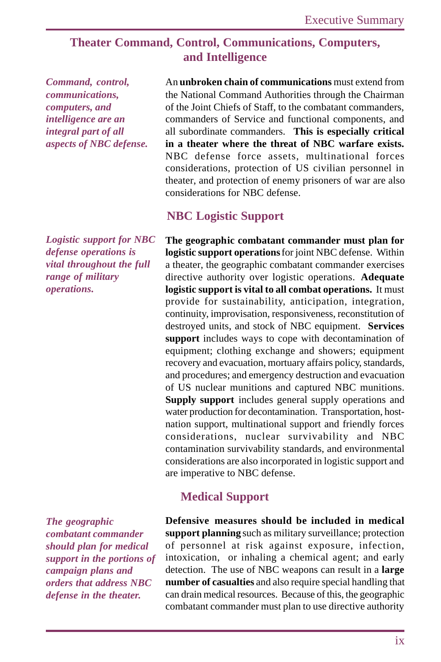#### **Theater Command, Control, Communications, Computers, and Intelligence**

*Command, control, communications, computers, and intelligence are an integral part of all aspects of NBC defense.*

*Logistic support for NBC defense operations is vital throughout the full range of military operations.*

*The geographic combatant commander should plan for medical support in the portions of campaign plans and orders that address NBC defense in the theater.*

An **unbroken chain of communications** must extend from the National Command Authorities through the Chairman of the Joint Chiefs of Staff, to the combatant commanders, commanders of Service and functional components, and all subordinate commanders. **This is especially critical in a theater where the threat of NBC warfare exists.** NBC defense force assets, multinational forces considerations, protection of US civilian personnel in theater, and protection of enemy prisoners of war are also considerations for NBC defense.

#### **NBC Logistic Support**

**The geographic combatant commander must plan for logistic support operations** for joint NBC defense. Within a theater, the geographic combatant commander exercises directive authority over logistic operations. **Adequate logistic support is vital to all combat operations.** It must provide for sustainability, anticipation, integration, continuity, improvisation, responsiveness, reconstitution of destroyed units, and stock of NBC equipment. **Services support** includes ways to cope with decontamination of equipment; clothing exchange and showers; equipment recovery and evacuation, mortuary affairs policy, standards, and procedures; and emergency destruction and evacuation of US nuclear munitions and captured NBC munitions. **Supply support** includes general supply operations and water production for decontamination. Transportation, hostnation support, multinational support and friendly forces considerations, nuclear survivability and NBC contamination survivability standards, and environmental considerations are also incorporated in logistic support and are imperative to NBC defense.

#### **Medical Support**

**Defensive measures should be included in medical support planning** such as military surveillance; protection of personnel at risk against exposure, infection, intoxication, or inhaling a chemical agent; and early detection. The use of NBC weapons can result in a **large number of casualties** and also require special handling that can drain medical resources. Because of this, the geographic combatant commander must plan to use directive authority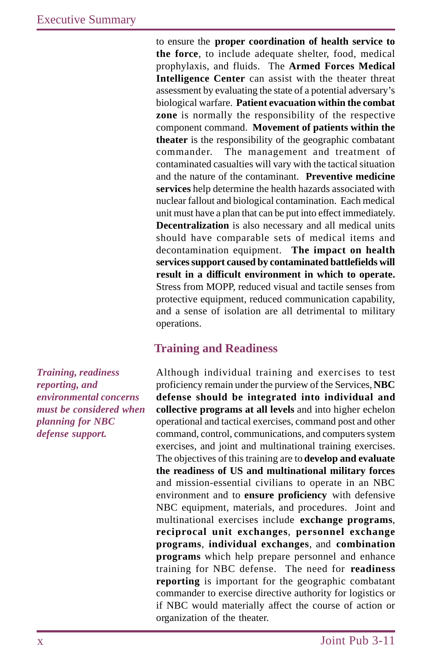to ensure the **proper coordination of health service to the force**, to include adequate shelter, food, medical prophylaxis, and fluids. The **Armed Forces Medical Intelligence Center** can assist with the theater threat assessment by evaluating the state of a potential adversary's biological warfare. **Patient evacuation within the combat zone** is normally the responsibility of the respective component command. **Movement of patients within the theater** is the responsibility of the geographic combatant commander. The management and treatment of contaminated casualties will vary with the tactical situation and the nature of the contaminant. **Preventive medicine services** help determine the health hazards associated with nuclear fallout and biological contamination. Each medical unit must have a plan that can be put into effect immediately. **Decentralization** is also necessary and all medical units should have comparable sets of medical items and decontamination equipment. **The impact on health services support caused by contaminated battlefields will result in a difficult environment in which to operate.** Stress from MOPP, reduced visual and tactile senses from protective equipment, reduced communication capability, and a sense of isolation are all detrimental to military operations.

#### **Training and Readiness**

*Training, readiness reporting, and environmental concerns must be considered when planning for NBC defense support.*

Although individual training and exercises to test proficiency remain under the purview of the Services, **NBC defense should be integrated into individual and collective programs at all levels** and into higher echelon operational and tactical exercises, command post and other command, control, communications, and computers system exercises, and joint and multinational training exercises. The objectives of this training are to **develop and evaluate the readiness of US and multinational military forces** and mission-essential civilians to operate in an NBC environment and to **ensure proficiency** with defensive NBC equipment, materials, and procedures. Joint and multinational exercises include **exchange programs**, **reciprocal unit exchanges**, **personnel exchange programs**, **individual exchanges**, and **combination programs** which help prepare personnel and enhance training for NBC defense. The need for **readiness reporting** is important for the geographic combatant commander to exercise directive authority for logistics or if NBC would materially affect the course of action or organization of the theater.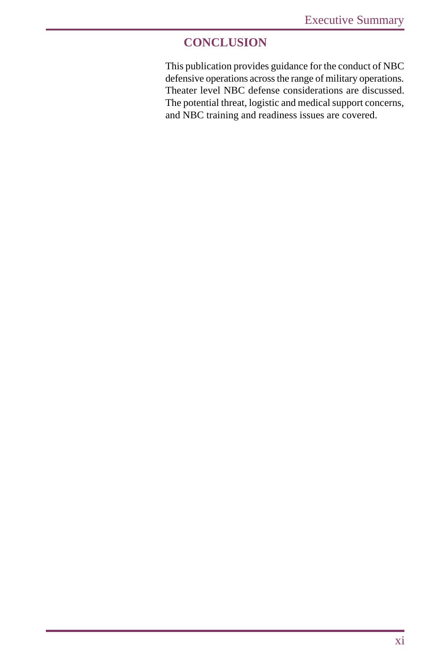#### **CONCLUSION**

This publication provides guidance for the conduct of NBC defensive operations across the range of military operations. Theater level NBC defense considerations are discussed. The potential threat, logistic and medical support concerns, and NBC training and readiness issues are covered.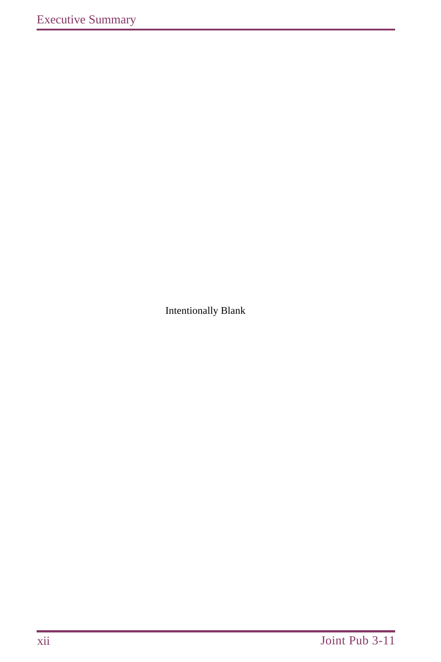Intentionally Blank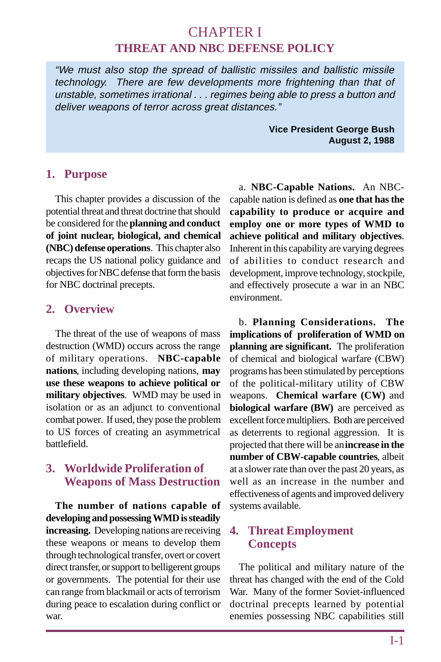#### CHAPTER I **THREAT AND NBC DEFENSE POLICY**

<span id="page-13-0"></span>"We must also stop the spread of ballistic missiles and ballistic missile technology. There are few developments more frightening than that of unstable, sometimes irrational . . . regimes being able to press a button and deliver weapons of terror across great distances."

> **Vice President George Bush August 2, 1988**

#### **1. Purpose**

This chapter provides a discussion of the potential threat and threat doctrine that should be considered for the **planning and conduct of joint nuclear, biological, and chemical (NBC) defense operations**. This chapter also recaps the US national policy guidance and objectives for NBC defense that form the basis for NBC doctrinal precepts.

#### **2. Overview**

The threat of the use of weapons of mass destruction (WMD) occurs across the range of military operations. **NBC-capable nations**, including developing nations, **may use these weapons to achieve political or military objectives**. WMD may be used in isolation or as an adjunct to conventional combat power. If used, they pose the problem to US forces of creating an asymmetrical battlefield.

#### **3. Worldwide Proliferation of Weapons of Mass Destruction**

**The number of nations capable of developing and possessing WMD is steadily increasing.** Developing nations are receiving these weapons or means to develop them through technological transfer, overt or covert direct transfer, or support to belligerent groups or governments. The potential for their use can range from blackmail or acts of terrorism during peace to escalation during conflict or war.

a. **NBC-Capable Nations.** An NBCcapable nation is defined as **one that has the capability to produce or acquire and employ one or more types of WMD to achieve political and military objectives**. Inherent in this capability are varying degrees of abilities to conduct research and development, improve technology, stockpile, and effectively prosecute a war in an NBC environment.

b. **Planning Considerations. The implications of proliferation of WMD on planning are significant.** The proliferation of chemical and biological warfare (CBW) programs has been stimulated by perceptions of the political-military utility of CBW weapons. **Chemical warfare (CW)** and **biological warfare (BW)** are perceived as excellent force multipliers. Both are perceived as deterrents to regional aggression. It is projected that there will be an **increase in the number of CBW-capable countries**, albeit at a slower rate than over the past 20 years, as well as an increase in the number and effectiveness of agents and improved delivery systems available.

#### **4. Threat Employment Concepts**

The political and military nature of the threat has changed with the end of the Cold War. Many of the former Soviet-influenced doctrinal precepts learned by potential enemies possessing NBC capabilities still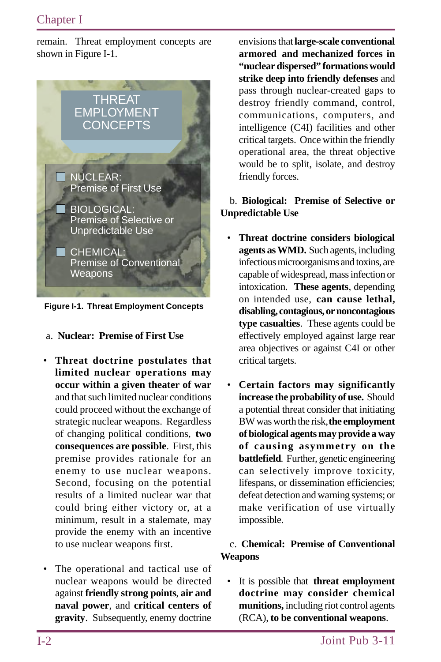remain. Threat employment concepts are shown in Figure I-1.



**Figure I-1. Threat Employment Concepts**

- a. **Nuclear: Premise of First Use**
- **Threat doctrine postulates that limited nuclear operations may occur within a given theater of war** and that such limited nuclear conditions could proceed without the exchange of strategic nuclear weapons. Regardless of changing political conditions, **two consequences are possible**. First, this premise provides rationale for an enemy to use nuclear weapons. Second, focusing on the potential results of a limited nuclear war that could bring either victory or, at a minimum, result in a stalemate, may provide the enemy with an incentive to use nuclear weapons first.
- The operational and tactical use of nuclear weapons would be directed against **friendly strong points**, **air and naval power**, and **critical centers of gravity**. Subsequently, enemy doctrine

envisions that **large-scale conventional armored and mechanized forces in "nuclear dispersed" formations would strike deep into friendly defenses** and pass through nuclear-created gaps to destroy friendly command, control, communications, computers, and intelligence (C4I) facilities and other critical targets. Once within the friendly operational area, the threat objective would be to split, isolate, and destroy friendly forces.

#### b. **Biological: Premise of Selective or Unpredictable Use**

- **Threat doctrine considers biological agents as WMD.** Such agents, including infectious microorganisms and toxins, are capable of widespread, mass infection or intoxication. **These agents**, depending on intended use, **can cause lethal, disabling, contagious, or noncontagious type casualties**. These agents could be effectively employed against large rear area objectives or against C4I or other critical targets.
- **Certain factors may significantly increase the probability of use.** Should a potential threat consider that initiating BW was worth the risk, **the employment of biological agents may provide a way of causing asymmetry on the battlefield**. Further, genetic engineering can selectively improve toxicity, lifespans, or dissemination efficiencies; defeat detection and warning systems; or make verification of use virtually impossible.

#### c. **Chemical: Premise of Conventional Weapons**

• It is possible that **threat employment doctrine may consider chemical munitions,** including riot control agents (RCA), **to be conventional weapons**.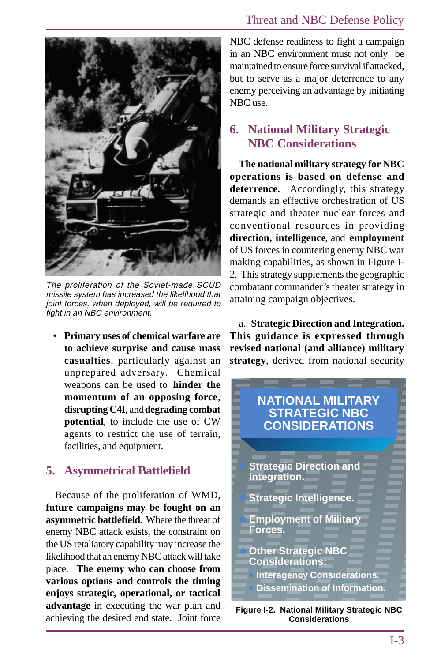<span id="page-15-0"></span>

The proliferation of the Soviet-made SCUD missile system has increased the likelihood that joint forces, when deployed, will be required to fight in an NBC environment.

• **Primary uses of chemical warfare are to achieve surprise and cause mass casualties**, particularly against an unprepared adversary. Chemical weapons can be used to **hinder the momentum of an opposing force**, **disrupting C4I**, and **degrading combat potential**, to include the use of CW agents to restrict the use of terrain, facilities, and equipment.

#### **5. Asymmetrical Battlefield**

Because of the proliferation of WMD, **future campaigns may be fought on an asymmetric battlefield**. Where the threat of enemy NBC attack exists, the constraint on the US retaliatory capability may increase the likelihood that an enemy NBC attack will take place. **The enemy who can choose from various options and controls the timing enjoys strategic, operational, or tactical advantage** in executing the war plan and achieving the desired end state.Joint force NBC defense readiness to fight a campaign in an NBC environment must not only be maintained to ensure force survival if attacked, but to serve as a major deterrence to any enemy perceiving an advantage by initiating NBC use.

#### **6. National Military Strategic NBC Considerations**

**The national military strategy for NBC operations is based on defense and deterrence.** Accordingly, this strategy demands an effective orchestration of US strategic and theater nuclear forces and conventional resources in providing **direction, intelligence**, and **employment** of US forces in countering enemy NBC war making capabilities, as shown in Figure I-2. This strategy supplements the geographic combatant commander's theater strategy in attaining campaign objectives.

a. **Strategic Direction and Integration. This guidance is expressed through revised national (and alliance) military strategy**, derived from national security

#### **NATIONAL MILITARY STRATEGIC NBC CONSIDERATIONS**

- **Strategic Direction and Integration.**
- **Strategic Intelligence.**
- **Employment of Military Forces.**
- **Other Strategic NBC Considerations:**
	- **Interagency Considerations.**
	- **Dissemination of Information.**

**Figure I-2. National Military Strategic NBC Considerations**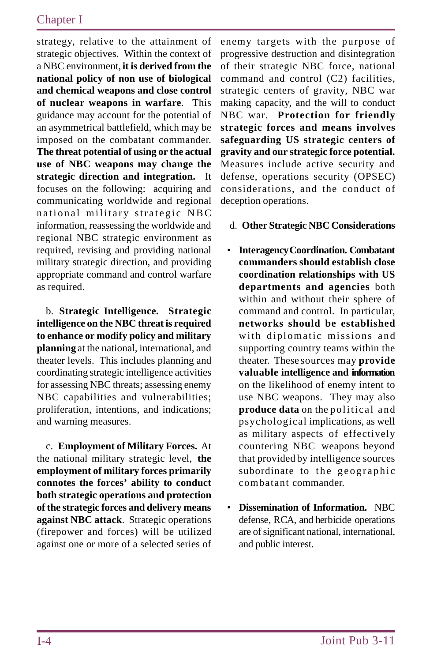strategy, relative to the attainment of strategic objectives. Within the context of a NBC environment, **it is derived from the national policy of non use of biological and chemical weapons and close control of nuclear weapons in warfare**. This guidance may account for the potential of an asymmetrical battlefield, which may be imposed on the combatant commander. **The threat potential of using or the actual use of NBC weapons may change the strategic direction and integration.** It focuses on the following: acquiring and communicating worldwide and regional national military strategic NBC information, reassessing the worldwide and regional NBC strategic environment as required, revising and providing national military strategic direction, and providing appropriate command and control warfare as required.

b. **Strategic Intelligence. Strategic intelligence on the NBC threat is required to enhance or modify policy and military planning** at the national, international, and theater levels. This includes planning and coordinating strategic intelligence activities for assessing NBC threats; assessing enemy NBC capabilities and vulnerabilities; proliferation, intentions, and indications; and warning measures.

c. **Employment of Military Forces.** At the national military strategic level, **the employment of military forces primarily connotes the forces' ability to conduct both strategic operations and protection of the strategic forces and delivery means against NBC attack**. Strategic operations (firepower and forces) will be utilized against one or more of a selected series of

enemy targets with the purpose of progressive destruction and disintegration of their strategic NBC force, national command and control (C2) facilities, strategic centers of gravity, NBC war making capacity, and the will to conduct NBC war. **Protection for friendly strategic forces and means involves safeguarding US strategic centers of gravity and our strategic force potential.** Measures include active security and defense, operations security (OPSEC) considerations, and the conduct of deception operations.

- d. **Other Strategic NBC Considerations**
- **Interagency Coordination. Combatant commanders should establish close coordination relationships with US departments and agencies** both within and without their sphere of command and control. In particular, **networks should be established** with diplomatic missions and supporting country teams within the theater. These sources may **provide valuable intelligence and information** on the likelihood of enemy intent to use NBC weapons. They may also **produce data** on the political and psychological implications, as well as military aspects of effectively countering NBC weapons beyond that provided by intelligence sources subordinate to the geographic combatant commander.
- **Dissemination of Information.** NBC defense, RCA, and herbicide operations are of significant national, international, and public interest.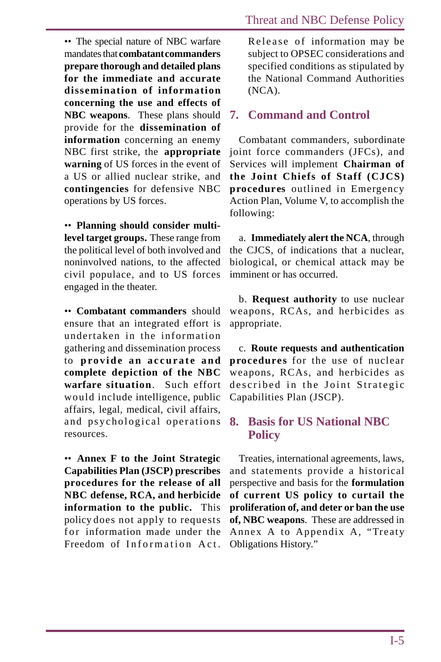<span id="page-17-0"></span>•• The special nature of NBC warfare mandates that **combatant commanders prepare thorough and detailed plans for the immediate and accurate dissemination of information concerning the use and effects of NBC weapons**. These plans should provide for the **dissemination of information** concerning an enemy NBC first strike, the **appropriate warning** of US forces in the event of a US or allied nuclear strike, and **contingencies** for defensive NBC operations by US forces.

•• **Planning should consider multilevel target groups.** These range from the political level of both involved and noninvolved nations, to the affected civil populace, and to US forces engaged in the theater.

•• **Combatant commanders** should ensure that an integrated effort is undertaken in the information gathering and dissemination process to **provide an accurate and complete depiction of the NBC warfare situation**. Such effort would include intelligence, public affairs, legal, medical, civil affairs, and psychological operations resources.

•• **Annex F to the Joint Strategic Capabilities Plan (JSCP) prescribes procedures for the release of all NBC defense, RCA, and herbicide information to the public.** This policy does not apply to requests for information made under the Freedom of Information Act.

Release of information may be subject to OPSEC considerations and specified conditions as stipulated by the National Command Authorities (NCA).

#### **7. Command and Control**

Combatant commanders, subordinate joint force commanders (JFCs), and Services will implement **Chairman of the Joint Chiefs of Staff (CJCS) procedures** outlined in Emergency Action Plan, Volume V, to accomplish the following:

a. **Immediately alert the NCA**, through the CJCS, of indications that a nuclear, biological, or chemical attack may be imminent or has occurred.

b. **Request authority** to use nuclear weapons, RCAs, and herbicides as appropriate.

c. **Route requests and authentication procedures** for the use of nuclear weapons, RCAs, and herbicides as described in the Joint Strategic Capabilities Plan (JSCP).

#### **8. Basis for US National NBC Policy**

Treaties, international agreements, laws, and statements provide a historical perspective and basis for the **formulation of current US policy to curtail the proliferation of, and deter or ban the use of, NBC weapons**. These are addressed in Annex A to Appendix A, "Treaty Obligations History."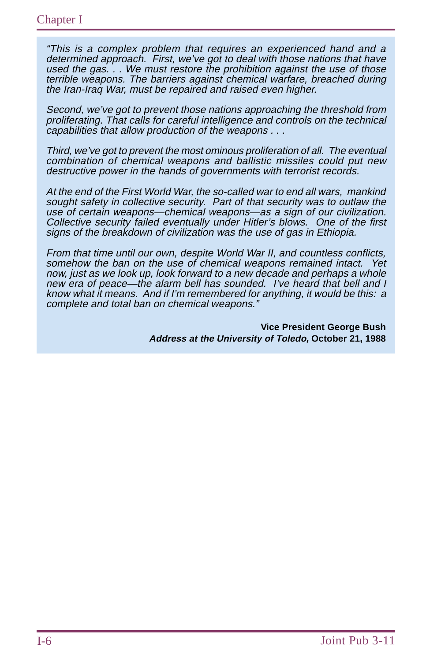"This is a complex problem that requires an experienced hand and a determined approach. First, we've got to deal with those nations that have used the gas. . . We must restore the prohibition against the use of those terrible weapons. The barriers against chemical warfare, breached during the Iran-Iraq War, must be repaired and raised even higher.

Second, we've got to prevent those nations approaching the threshold from proliferating. That calls for careful intelligence and controls on the technical capabilities that allow production of the weapons . . .

Third, we've got to prevent the most ominous proliferation of all. The eventual combination of chemical weapons and ballistic missiles could put new destructive power in the hands of governments with terrorist records.

At the end of the First World War, the so-called war to end all wars, mankind sought safety in collective security. Part of that security was to outlaw the use of certain weapons—chemical weapons—as a sign of our civilization. Collective security failed eventually under Hitler's blows. One of the first signs of the breakdown of civilization was the use of gas in Ethiopia.

From that time until our own, despite World War II, and countless conflicts, somehow the ban on the use of chemical weapons remained intact. Yet now, just as we look up, look forward to a new decade and perhaps a whole new era of peace—the alarm bell has sounded. I've heard that bell and I know what it means. And if I'm remembered for anything, it would be this: a complete and total ban on chemical weapons."

> **Vice President George Bush Address at the University of Toledo, October 21, 1988**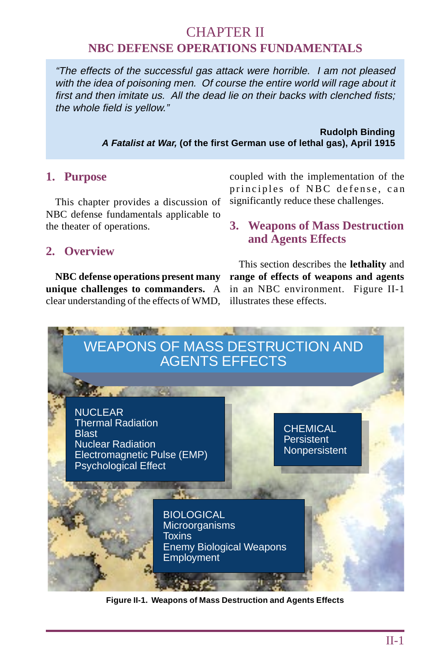#### CHAPTER II **NBC DEFENSE OPERATIONS FUNDAMENTALS**

<span id="page-19-0"></span>"The effects of the successful gas attack were horrible. I am not pleased with the idea of poisoning men. Of course the entire world will rage about it first and then imitate us. All the dead lie on their backs with clenched fists; the whole field is yellow."

#### **Rudolph Binding A Fatalist at War, (of the first German use of lethal gas), April 1915**

#### **1. Purpose**

This chapter provides a discussion of significantly reduce these challenges. NBC defense fundamentals applicable to the theater of operations.

#### **2. Overview**

**unique challenges to commanders.** A in an NBC environment. Figure II-1 clear understanding of the effects of WMD, illustrates these effects.

coupled with the implementation of the principles of NBC defense, can

#### **3. Weapons of Mass Destruction and Agents Effects**

**NBC defense operations present many range of effects of weapons and agents** This section describes the **lethality** and



**Figure II-1. Weapons of Mass Destruction and Agents Effects**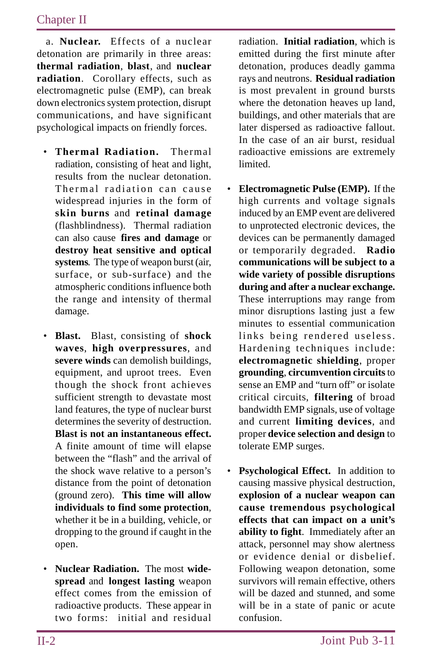a. **Nuclear.** Effects of a nuclear detonation are primarily in three areas: **thermal radiation**, **blast**, and **nuclear radiation**. Corollary effects, such as electromagnetic pulse (EMP), can break down electronics system protection, disrupt communications, and have significant psychological impacts on friendly forces.

- **Thermal Radiation.** Thermal radiation, consisting of heat and light, results from the nuclear detonation. Thermal radiation can cause widespread injuries in the form of **skin burns** and **retinal damage** (flashblindness). Thermal radiation can also cause **fires and damage** or **destroy heat sensitive and optical systems**. The type of weapon burst (air, surface, or sub-surface) and the atmospheric conditions influence both the range and intensity of thermal damage.
- **Blast.** Blast, consisting of **shock waves**, **high overpressures**, and **severe winds** can demolish buildings, equipment, and uproot trees. Even though the shock front achieves sufficient strength to devastate most land features, the type of nuclear burst determines the severity of destruction. **Blast is not an instantaneous effect.** A finite amount of time will elapse between the "flash" and the arrival of the shock wave relative to a person's distance from the point of detonation (ground zero). **This time will allow individuals to find some protection**, whether it be in a building, vehicle, or dropping to the ground if caught in the open.
- **Nuclear Radiation.** The most **widespread** and **longest lasting** weapon effect comes from the emission of radioactive products. These appear in two forms: initial and residual

radiation. **Initial radiation**, which is emitted during the first minute after detonation, produces deadly gamma rays and neutrons. **Residual radiation** is most prevalent in ground bursts where the detonation heaves up land, buildings, and other materials that are later dispersed as radioactive fallout. In the case of an air burst, residual radioactive emissions are extremely limited.

- **Electromagnetic Pulse (EMP).** If the high currents and voltage signals induced by an EMP event are delivered to unprotected electronic devices, the devices can be permanently damaged or temporarily degraded. **Radio communications will be subject to a wide variety of possible disruptions during and after a nuclear exchange.** These interruptions may range from minor disruptions lasting just a few minutes to essential communication links being rendered useless. Hardening techniques include: **electromagnetic shielding**, proper **grounding**, **circumvention circuits** to sense an EMP and "turn off" or isolate critical circuits, **filtering** of broad bandwidth EMP signals, use of voltage and current **limiting devices**, and proper **device selection and design** to tolerate EMP surges.
- **Psychological Effect.** In addition to causing massive physical destruction, **explosion of a nuclear weapon can cause tremendous psychological effects that can impact on a unit's ability to fight**. Immediately after an attack, personnel may show alertness or evidence denial or disbelief. Following weapon detonation, some survivors will remain effective, others will be dazed and stunned, and some will be in a state of panic or acute confusion.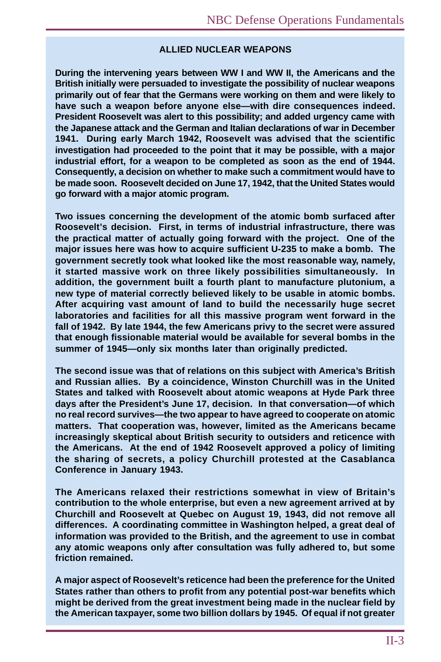#### **ALLIED NUCLEAR WEAPONS**

**During the intervening years between WW I and WW II, the Americans and the British initially were persuaded to investigate the possibility of nuclear weapons primarily out of fear that the Germans were working on them and were likely to have such a weapon before anyone else—with dire consequences indeed. President Roosevelt was alert to this possibility; and added urgency came with the Japanese attack and the German and Italian declarations of war in December 1941. During early March 1942, Roosevelt was advised that the scientific investigation had proceeded to the point that it may be possible, with a major industrial effort, for a weapon to be completed as soon as the end of 1944. Consequently, a decision on whether to make such a commitment would have to be made soon. Roosevelt decided on June 17, 1942, that the United States would go forward with a major atomic program.**

**Two issues concerning the development of the atomic bomb surfaced after Roosevelt's decision. First, in terms of industrial infrastructure, there was the practical matter of actually going forward with the project. One of the major issues here was how to acquire sufficient U-235 to make a bomb. The government secretly took what looked like the most reasonable way, namely, it started massive work on three likely possibilities simultaneously. In addition, the government built a fourth plant to manufacture plutonium, a new type of material correctly believed likely to be usable in atomic bombs. After acquiring vast amount of land to build the necessarily huge secret laboratories and facilities for all this massive program went forward in the fall of 1942. By late 1944, the few Americans privy to the secret were assured that enough fissionable material would be available for several bombs in the summer of 1945—only six months later than originally predicted.**

**The second issue was that of relations on this subject with America's British and Russian allies. By a coincidence, Winston Churchill was in the United States and talked with Roosevelt about atomic weapons at Hyde Park three days after the President's June 17, decision. In that conversation—of which no real record survives—the two appear to have agreed to cooperate on atomic matters. That cooperation was, however, limited as the Americans became increasingly skeptical about British security to outsiders and reticence with the Americans. At the end of 1942 Roosevelt approved a policy of limiting the sharing of secrets, a policy Churchill protested at the Casablanca Conference in January 1943.**

**The Americans relaxed their restrictions somewhat in view of Britain's contribution to the whole enterprise, but even a new agreement arrived at by Churchill and Roosevelt at Quebec on August 19, 1943, did not remove all differences. A coordinating committee in Washington helped, a great deal of information was provided to the British, and the agreement to use in combat any atomic weapons only after consultation was fully adhered to, but some friction remained.**

**A major aspect of Roosevelt's reticence had been the preference for the United States rather than others to profit from any potential post-war benefits which might be derived from the great investment being made in the nuclear field by the American taxpayer, some two billion dollars by 1945. Of equal if not greater**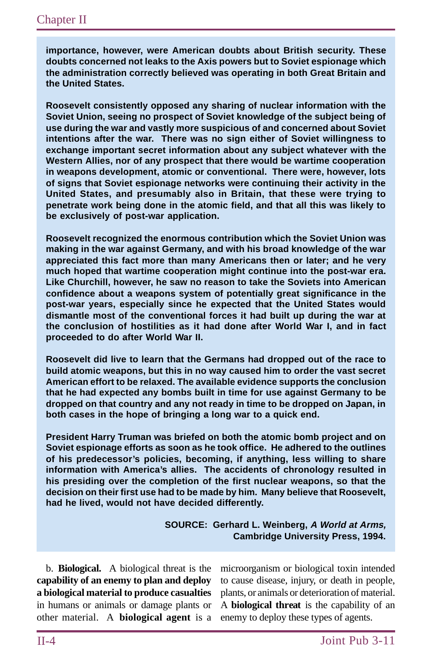**importance, however, were American doubts about British security. These doubts concerned not leaks to the Axis powers but to Soviet espionage which the administration correctly believed was operating in both Great Britain and the United States.**

**Roosevelt consistently opposed any sharing of nuclear information with the Soviet Union, seeing no prospect of Soviet knowledge of the subject being of use during the war and vastly more suspicious of and concerned about Soviet intentions after the war. There was no sign either of Soviet willingness to exchange important secret information about any subject whatever with the Western Allies, nor of any prospect that there would be wartime cooperation in weapons development, atomic or conventional. There were, however, lots of signs that Soviet espionage networks were continuing their activity in the United States, and presumably also in Britain, that these were trying to penetrate work being done in the atomic field, and that all this was likely to be exclusively of post-war application.**

**Roosevelt recognized the enormous contribution which the Soviet Union was making in the war against Germany, and with his broad knowledge of the war appreciated this fact more than many Americans then or later; and he very much hoped that wartime cooperation might continue into the post-war era. Like Churchill, however, he saw no reason to take the Soviets into American confidence about a weapons system of potentially great significance in the post-war years, especially since he expected that the United States would dismantle most of the conventional forces it had built up during the war at the conclusion of hostilities as it had done after World War I, and in fact proceeded to do after World War II.**

**Roosevelt did live to learn that the Germans had dropped out of the race to build atomic weapons, but this in no way caused him to order the vast secret American effort to be relaxed. The available evidence supports the conclusion that he had expected any bombs built in time for use against Germany to be dropped on that country and any not ready in time to be dropped on Japan, in both cases in the hope of bringing a long war to a quick end.**

**President Harry Truman was briefed on both the atomic bomb project and on Soviet espionage efforts as soon as he took office. He adhered to the outlines of his predecessor's policies, becoming, if anything, less willing to share information with America's allies. The accidents of chronology resulted in his presiding over the completion of the first nuclear weapons, so that the decision on their first use had to be made by him. Many believe that Roosevelt, had he lived, would not have decided differently.**

> **SOURCE: Gerhard L. Weinberg, A World at Arms, Cambridge University Press, 1994.**

b. **Biological.** A biological threat is the **capability of an enemy to plan and deploy a biological material to produce casualties** in humans or animals or damage plants or other material. A **biological agent** is a

microorganism or biological toxin intended to cause disease, injury, or death in people, plants, or animals or deterioration of material. A **biological threat** is the capability of an enemy to deploy these types of agents.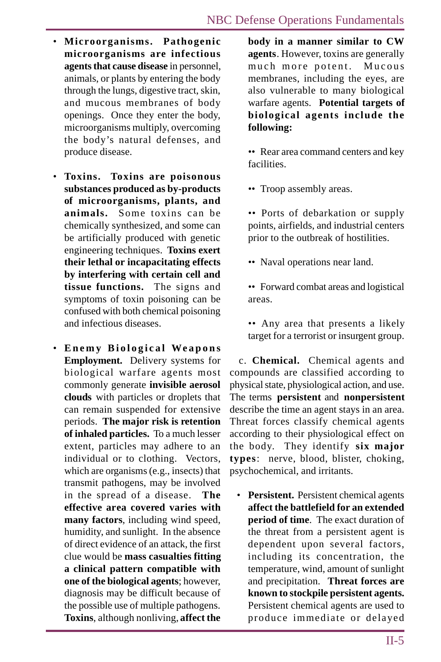- **Microorganisms. Pathogenic microorganisms are infectious agents that cause disease** in personnel, animals, or plants by entering the body through the lungs, digestive tract, skin, and mucous membranes of body openings. Once they enter the body, microorganisms multiply, overcoming the body's natural defenses, and produce disease.
- **Toxins. Toxins are poisonous substances produced as by-products of microorganisms, plants, and animals.** Some toxins can be chemically synthesized, and some can be artificially produced with genetic engineering techniques. **Toxins exert their lethal or incapacitating effects by interfering with certain cell and tissue functions.** The signs and symptoms of toxin poisoning can be confused with both chemical poisoning and infectious diseases.
- **Enemy Biological Weapons Employment.** Delivery systems for biological warfare agents most commonly generate **invisible aerosol clouds** with particles or droplets that can remain suspended for extensive periods. **The major risk is retention of inhaled particles.** To a much lesser extent, particles may adhere to an individual or to clothing. Vectors, which are organisms (e.g., insects) that transmit pathogens, may be involved in the spread of a disease. **The effective area covered varies with many factors**, including wind speed, humidity, and sunlight. In the absence of direct evidence of an attack, the first clue would be **mass casualties fitting a clinical pattern compatible with one of the biological agents**; however, diagnosis may be difficult because of the possible use of multiple pathogens. **Toxins**, although nonliving, **affect the**

**body in a manner similar to CW agents**. However, toxins are generally much more potent. Mucous membranes, including the eyes, are also vulnerable to many biological warfare agents. **Potential targets of biological agents include the following:**

- •• Rear area command centers and key facilities.
- Troop assembly areas.
- •• Ports of debarkation or supply points, airfields, and industrial centers prior to the outbreak of hostilities.
- •• Naval operations near land.
- •• Forward combat areas and logistical areas.
- •• Any area that presents a likely target for a terrorist or insurgent group.

c. **Chemical.** Chemical agents and compounds are classified according to physical state, physiological action, and use. The terms **persistent** and **nonpersistent** describe the time an agent stays in an area. Threat forces classify chemical agents according to their physiological effect on the body. They identify **six major types**: nerve, blood, blister, choking, psychochemical, and irritants.

• **Persistent.** Persistent chemical agents **affect the battlefield for an extended period of time**. The exact duration of the threat from a persistent agent is dependent upon several factors, including its concentration, the temperature, wind, amount of sunlight and precipitation. **Threat forces are known to stockpile persistent agents.** Persistent chemical agents are used to produce immediate or delayed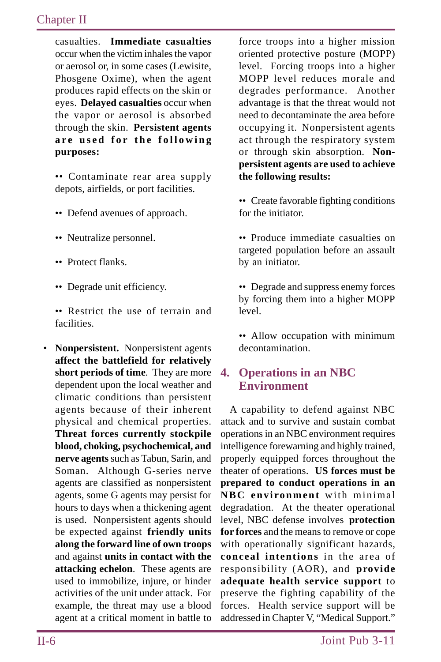<span id="page-24-0"></span>casualties. **Immediate casualties** occur when the victim inhales the vapor or aerosol or, in some cases (Lewisite, Phosgene Oxime), when the agent produces rapid effects on the skin or eyes. **Delayed casualties** occur when the vapor or aerosol is absorbed through the skin. **Persistent agents are used for the following purposes:**

•• Contaminate rear area supply depots, airfields, or port facilities.

- Defend avenues of approach.
- Neutralize personnel.
- •• Protect flanks.
- Degrade unit efficiency.
- •• Restrict the use of terrain and facilities.
- **Nonpersistent.** Nonpersistent agents **affect the battlefield for relatively short periods of time**. They are more dependent upon the local weather and climatic conditions than persistent agents because of their inherent physical and chemical properties. **Threat forces currently stockpile blood, choking, psychochemical, and nerve agents** such as Tabun, Sarin, and Soman. Although G-series nerve agents are classified as nonpersistent agents, some G agents may persist for hours to days when a thickening agent is used. Nonpersistent agents should be expected against **friendly units along the forward line of own troops** and against **units in contact with the attacking echelon**. These agents are used to immobilize, injure, or hinder activities of the unit under attack. For example, the threat may use a blood agent at a critical moment in battle to

force troops into a higher mission oriented protective posture (MOPP) level. Forcing troops into a higher MOPP level reduces morale and degrades performance. Another advantage is that the threat would not need to decontaminate the area before occupying it. Nonpersistent agents act through the respiratory system or through skin absorption. **Nonpersistent agents are used to achieve the following results:**

- •• Create favorable fighting conditions for the initiator.
- •• Produce immediate casualties on targeted population before an assault by an initiator.
- Degrade and suppress enemy forces by forcing them into a higher MOPP level.
- Allow occupation with minimum decontamination.

#### **4. Operations in an NBC Environment**

A capability to defend against NBC attack and to survive and sustain combat operations in an NBC environment requires intelligence forewarning and highly trained, properly equipped forces throughout the theater of operations. **US forces must be prepared to conduct operations in an NBC environment** with minimal degradation. At the theater operational level, NBC defense involves **protection for forces** and the means to remove or cope with operationally significant hazards, **conceal intentions** in the area of responsibility (AOR), and **provide adequate health service support** to preserve the fighting capability of the forces. Health service support will be addressed in Chapter V, "Medical Support."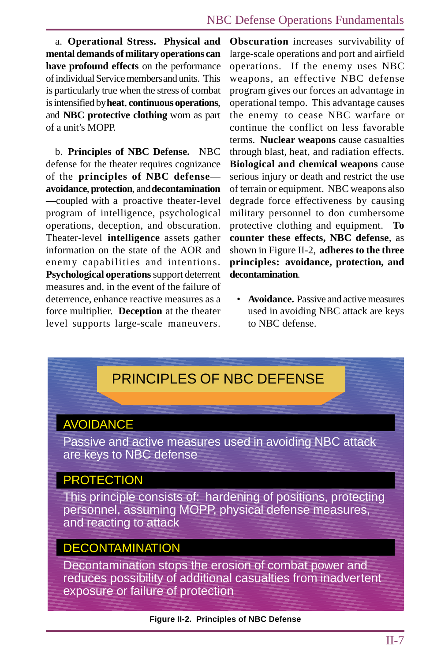<span id="page-25-0"></span>a. **Operational Stress. Physical and mental demands of military operations can have profound effects** on the performance of individual Service members and units. This is particularly true when the stress of combat is intensified by **heat**, **continuous operations**, and **NBC protective clothing** worn as part of a unit's MOPP.

b. **Principles of NBC Defense.** NBC defense for the theater requires cognizance of the **principles of NBC defense avoidance**, **protection**, and **decontamination** —coupled with a proactive theater-level program of intelligence, psychological operations, deception, and obscuration. Theater-level **intelligence** assets gather information on the state of the AOR and enemy capabilities and intentions. **Psychological operations** support deterrent measures and, in the event of the failure of deterrence, enhance reactive measures as a force multiplier. **Deception** at the theater level supports large-scale maneuvers.

**Obscuration** increases survivability of large-scale operations and port and airfield operations. If the enemy uses NBC weapons, an effective NBC defense program gives our forces an advantage in operational tempo. This advantage causes the enemy to cease NBC warfare or continue the conflict on less favorable terms. **Nuclear weapons** cause casualties through blast, heat, and radiation effects. **Biological and chemical weapons** cause serious injury or death and restrict the use of terrain or equipment. NBC weapons also degrade force effectiveness by causing military personnel to don cumbersome protective clothing and equipment. **To counter these effects, NBC defense**, as shown in Figure II-2, **adheres to the three principles: avoidance, protection, and decontamination**.

• **Avoidance.** Passive and active measures used in avoiding NBC attack are keys to NBC defense.



#### **Figure II-2. Principles of NBC Defense**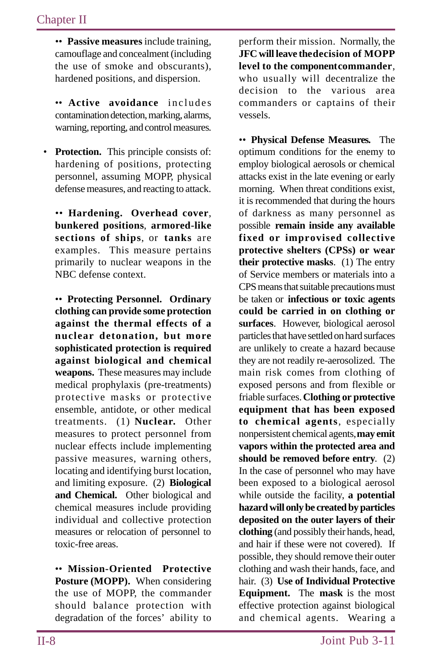•• **Passive measures** include training, camouflage and concealment (including the use of smoke and obscurants), hardened positions, and dispersion.

•• **Active avoidance** includes contamination detection, marking, alarms, warning, reporting, and control measures.

• **Protection.** This principle consists of: hardening of positions, protecting personnel, assuming MOPP, physical defense measures, and reacting to attack.

•• **Hardening. Overhead cover**, **bunkered positions**, **armored-like sections of ships**, or **tanks** are examples. This measure pertains primarily to nuclear weapons in the NBC defense context.

•• **Protecting Personnel. Ordinary clothing can provide some protection against the thermal effects of a nuclear detonation, but more sophisticated protection is required against biological and chemical weapons.** These measures may include medical prophylaxis (pre-treatments) protective masks or protective ensemble, antidote, or other medical treatments. (1) **Nuclear.** Other measures to protect personnel from nuclear effects include implementing passive measures, warning others, locating and identifying burst location, and limiting exposure. (2) **Biological and Chemical.** Other biological and chemical measures include providing individual and collective protection measures or relocation of personnel to toxic-free areas.

•• **Mission-Oriented Protective Posture (MOPP).** When considering the use of MOPP, the commander should balance protection with degradation of the forces' ability to

perform their mission. Normally, the **JFC will leave the decision of MOPP** level to the component commander, who usually will decentralize the decision to the various area commanders or captains of their vessels.

•• **Physical Defense Measures.** The optimum conditions for the enemy to employ biological aerosols or chemical attacks exist in the late evening or early morning. When threat conditions exist, it is recommended that during the hours of darkness as many personnel as possible **remain inside any available fixed or improvised collective protective shelters (CPSs) or wear their protective masks**. (1) The entry of Service members or materials into a CPS means that suitable precautions must be taken or **infectious or toxic agents could be carried in on clothing or surfaces**. However, biological aerosol particles that have settled on hard surfaces are unlikely to create a hazard because they are not readily re-aerosolized. The main risk comes from clothing of exposed persons and from flexible or friable surfaces. **Clothing or protective equipment that has been exposed to chemical agents**, especially nonpersistent chemical agents, **may emit vapors within the protected area and should be removed before entry**. (2) In the case of personnel who may have been exposed to a biological aerosol while outside the facility, **a potential hazard will only be created by particles deposited on the outer layers of their clothing** (and possibly their hands, head, and hair if these were not covered). If possible, they should remove their outer clothing and wash their hands, face, and hair. (3) **Use of Individual Protective Equipment.** The **mask** is the most effective protection against biological and chemical agents. Wearing a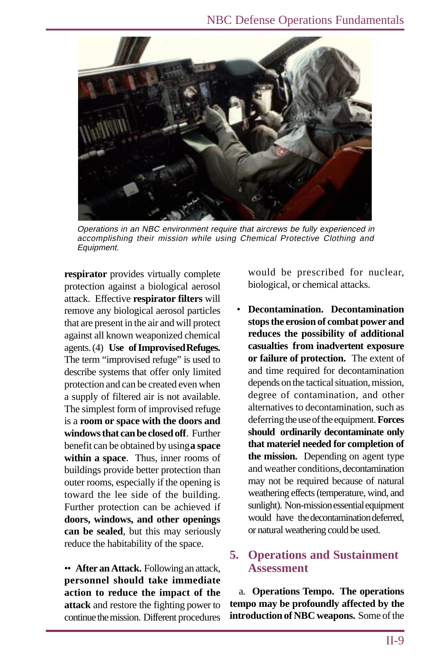<span id="page-27-0"></span>

Operations in an NBC environment require that aircrews be fully experienced in accomplishing their mission while using Chemical Protective Clothing and Equipment.

**respirator** provides virtually complete protection against a biological aerosol attack. Effective **respirator filters** will remove any biological aerosol particles that are present in the air and will protect against all known weaponized chemical agents. (4) **Use of Improvised Refuges.** The term "improvised refuge" is used to describe systems that offer only limited protection and can be created even when a supply of filtered air is not available. The simplest form of improvised refuge is a **room or space with the doors and windows that can be closed off**. Further benefit can be obtained by using **a space within a space**. Thus, inner rooms of buildings provide better protection than outer rooms, especially if the opening is toward the lee side of the building. Further protection can be achieved if **doors, windows, and other openings can be sealed**, but this may seriously reduce the habitability of the space.

•• **After an Attack.** Following an attack, **personnel should take immediate action to reduce the impact of the attack** and restore the fighting power to continue the mission. Different procedures

would be prescribed for nuclear, biological, or chemical attacks.

• **Decontamination. Decontamination stops the erosion of combat power and reduces the possibility of additional casualties from inadvertent exposure or failure of protection.** The extent of and time required for decontamination depends on the tactical situation, mission, degree of contamination, and other alternatives to decontamination, such as deferring the use of the equipment. **Forces should ordinarily decontaminate only that materiel needed for completion of the mission.** Depending on agent type and weather conditions, decontamination may not be required because of natural weathering effects (temperature, wind, and sunlight). Non-mission essential equipment would have the decontamination deferred, or natural weathering could be used.

#### **5. Operations and Sustainment Assessment**

a. **Operations Tempo. The operations tempo may be profoundly affected by the introduction of NBC weapons.** Some of the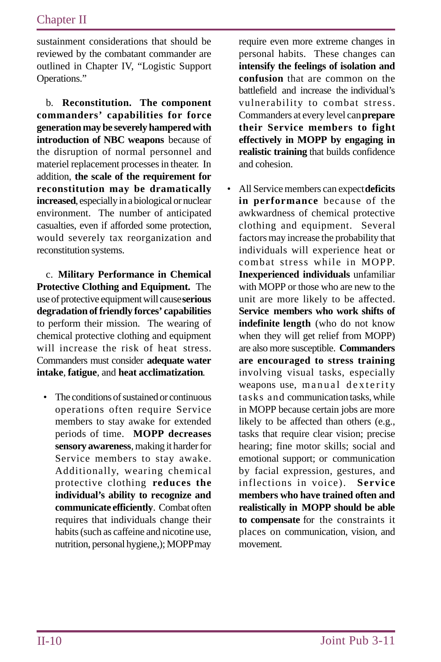sustainment considerations that should be reviewed by the combatant commander are outlined in Chapter IV, "Logistic Support Operations."

b. **Reconstitution. The component commanders' capabilities for force generation may be severely hampered with introduction of NBC weapons** because of the disruption of normal personnel and materiel replacement processes in theater. In addition, **the scale of the requirement for reconstitution may be dramatically increased**, especially in a biological or nuclear environment. The number of anticipated casualties, even if afforded some protection, would severely tax reorganization and reconstitution systems.

c. **Military Performance in Chemical Protective Clothing and Equipment.** The use of protective equipment will cause **serious degradation of friendly forces' capabilities** to perform their mission. The wearing of chemical protective clothing and equipment will increase the risk of heat stress. Commanders must consider **adequate water intake**, **fatigue**, and **heat acclimatization**.

• The conditions of sustained or continuous operations often require Service members to stay awake for extended periods of time. **MOPP decreases sensory awareness**, making it harder for Service members to stay awake. Additionally, wearing chemical protective clothing **reduces the individual's ability to recognize and communicate efficiently**. Combat often requires that individuals change their habits (such as caffeine and nicotine use, nutrition, personal hygiene,); MOPP may

require even more extreme changes in personal habits. These changes can **intensify the feelings of isolation and confusion** that are common on the battlefield and increase the individual's vulnerability to combat stress. Commanders at every level can **prepare their Service members to fight effectively in MOPP by engaging in realistic training** that builds confidence and cohesion.

• All Service members can expect **deficits in performance** because of the awkwardness of chemical protective clothing and equipment. Several factors may increase the probability that individuals will experience heat or combat stress while in MOPP. **Inexperienced individuals** unfamiliar with MOPP or those who are new to the unit are more likely to be affected. **Service members who work shifts of indefinite length** (who do not know when they will get relief from MOPP) are also more susceptible. **Commanders are encouraged to stress training** involving visual tasks, especially weapons use, manual dexterity tasks and communication tasks, while in MOPP because certain jobs are more likely to be affected than others (e.g., tasks that require clear vision; precise hearing; fine motor skills; social and emotional support; or communication by facial expression, gestures, and inflections in voice). **Service members who have trained often and realistically in MOPP should be able to compensate** for the constraints it places on communication, vision, and movement.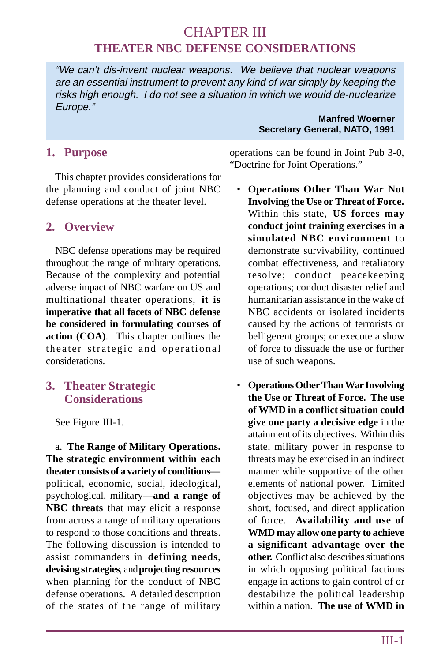### CHAPTER III **THEATER NBC DEFENSE CONSIDERATIONS**

<span id="page-29-0"></span>"We can't dis-invent nuclear weapons. We believe that nuclear weapons are an essential instrument to prevent any kind of war simply by keeping the risks high enough. I do not see a situation in which we would de-nuclearize Europe."

#### **1. Purpose**

This chapter provides considerations for the planning and conduct of joint NBC defense operations at the theater level.

#### **2. Overview**

NBC defense operations may be required throughout the range of military operations. Because of the complexity and potential adverse impact of NBC warfare on US and multinational theater operations, **it is imperative that all facets of NBC defense be considered in formulating courses of action (COA)**. This chapter outlines the theater strategic and operational considerations.

#### **3. Theater Strategic Considerations**

See Figure III-1.

a. **The Range of Military Operations. The strategic environment within each theater consists of a variety of conditions** political, economic, social, ideological, psychological, military—**and a range of NBC threats** that may elicit a response from across a range of military operations to respond to those conditions and threats. The following discussion is intended to assist commanders in **defining needs**, **devising strategies**, and **projecting resources** when planning for the conduct of NBC defense operations. A detailed description of the states of the range of military

**Manfred Woerner Secretary General, NATO, 1991**

operations can be found in Joint Pub 3-0, "Doctrine for Joint Operations."

- **Operations Other Than War Not Involving the Use or Threat of Force.** Within this state, **US forces may conduct joint training exercises in a simulated NBC environment** to demonstrate survivability, continued combat effectiveness, and retaliatory resolve; conduct peacekeeping operations; conduct disaster relief and humanitarian assistance in the wake of NBC accidents or isolated incidents caused by the actions of terrorists or belligerent groups; or execute a show of force to dissuade the use or further use of such weapons.
- **Operations Other Than War Involving the Use or Threat of Force. The use of WMD in a conflict situation could give one party a decisive edge** in the attainment of its objectives. Within this state, military power in response to threats may be exercised in an indirect manner while supportive of the other elements of national power. Limited objectives may be achieved by the short, focused, and direct application of force. **Availability and use of WMD may allow one party to achieve a significant advantage over the other.** Conflict also describes situations in which opposing political factions engage in actions to gain control of or destabilize the political leadership within a nation. **The use of WMD in**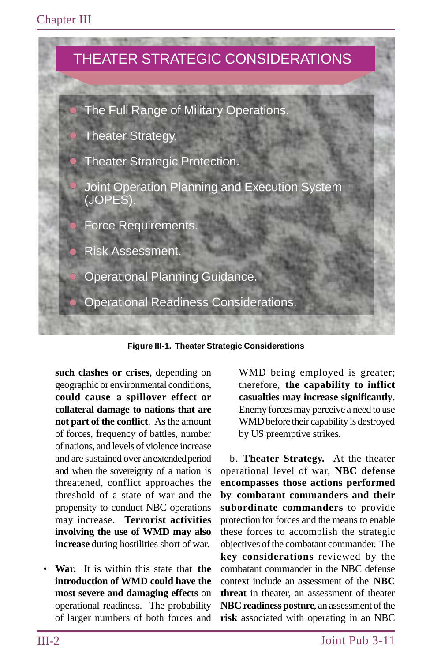<span id="page-30-0"></span>

**Figure III-1. Theater Strategic Considerations**

**such clashes or crises**, depending on geographic or environmental conditions, **could cause a spillover effect or collateral damage to nations that are not part of the conflict**. As the amount of forces, frequency of battles, number of nations, and levels of violence increase and are sustained over an extended period and when the sovereignty of a nation is threatened, conflict approaches the threshold of a state of war and the propensity to conduct NBC operations may increase. **Terrorist activities involving the use of WMD may also increase** during hostilities short of war.

• **War.** It is within this state that **the introduction of WMD could have the most severe and damaging effects** on operational readiness. The probability of larger numbers of both forces and

WMD being employed is greater; therefore, **the capability to inflict casualties may increase significantly**. Enemy forces may perceive a need to use WMD before their capability is destroyed by US preemptive strikes.

b. **Theater Strategy.** At the theater operational level of war, **NBC defense encompasses those actions performed by combatant commanders and their subordinate commanders** to provide protection for forces and the means to enable these forces to accomplish the strategic objectives of the combatant commander. The **key considerations** reviewed by the combatant commander in the NBC defense context include an assessment of the **NBC threat** in theater, an assessment of theater **NBC readiness posture**, an assessment of the **risk** associated with operating in an NBC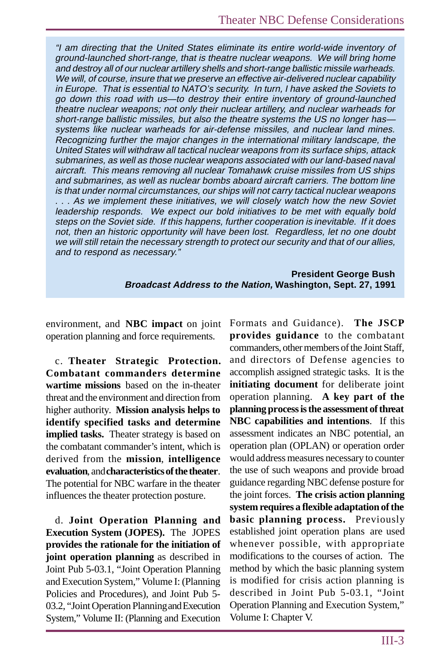"I am directing that the United States eliminate its entire world-wide inventory of ground-launched short-range, that is theatre nuclear weapons. We will bring home and destroy all of our nuclear artillery shells and short-range ballistic missile warheads. We will, of course, insure that we preserve an effective air-delivered nuclear capability in Europe. That is essential to NATO's security. In turn, I have asked the Soviets to go down this road with us—to destroy their entire inventory of ground-launched theatre nuclear weapons; not only their nuclear artillery, and nuclear warheads for short-range ballistic missiles, but also the theatre systems the US no longer hassystems like nuclear warheads for air-defense missiles, and nuclear land mines. Recognizing further the major changes in the international military landscape, the United States will withdraw all tactical nuclear weapons from its surface ships, attack submarines, as well as those nuclear weapons associated with our land-based naval aircraft. This means removing all nuclear Tomahawk cruise missiles from US ships and submarines, as well as nuclear bombs aboard aircraft carriers. The bottom line is that under normal circumstances, our ships will not carry tactical nuclear weapons . . . As we implement these initiatives, we will closely watch how the new Soviet leadership responds. We expect our bold initiatives to be met with equally bold steps on the Soviet side. If this happens, further cooperation is inevitable. If it does not, then an historic opportunity will have been lost. Regardless, let no one doubt we will still retain the necessary strength to protect our security and that of our allies, and to respond as necessary."

> **President George Bush Broadcast Address to the Nation, Washington, Sept. 27, 1991**

environment, and **NBC impact** on joint operation planning and force requirements.

c. **Theater Strategic Protection. Combatant commanders determine wartime missions** based on the in-theater threat and the environment and direction from higher authority. **Mission analysis helps to identify specified tasks and determine implied tasks.** Theater strategy is based on the combatant commander's intent, which is derived from the **mission**, **intelligence evaluation**, and **characteristics of the theater**. The potential for NBC warfare in the theater influences the theater protection posture.

d. **Joint Operation Planning and Execution System (JOPES).** The JOPES **provides the rationale for the initiation of joint operation planning** as described in Joint Pub 5-03.1, "Joint Operation Planning and Execution System," Volume I: (Planning Policies and Procedures), and Joint Pub 5- 03.2, "Joint Operation Planning and Execution System," Volume II: (Planning and Execution

Formats and Guidance). **The JSCP provides guidance** to the combatant commanders, other members of the Joint Staff, and directors of Defense agencies to accomplish assigned strategic tasks. It is the **initiating document** for deliberate joint operation planning. **A key part of the planning process is the assessment of threat NBC capabilities and intentions**. If this assessment indicates an NBC potential, an operation plan (OPLAN) or operation order would address measures necessary to counter the use of such weapons and provide broad guidance regarding NBC defense posture for the joint forces. **The crisis action planning system requires a flexible adaptation of the basic planning process.** Previously established joint operation plans are used whenever possible, with appropriate modifications to the courses of action. The method by which the basic planning system is modified for crisis action planning is described in Joint Pub 5-03.1, "Joint Operation Planning and Execution System," Volume I: Chapter V.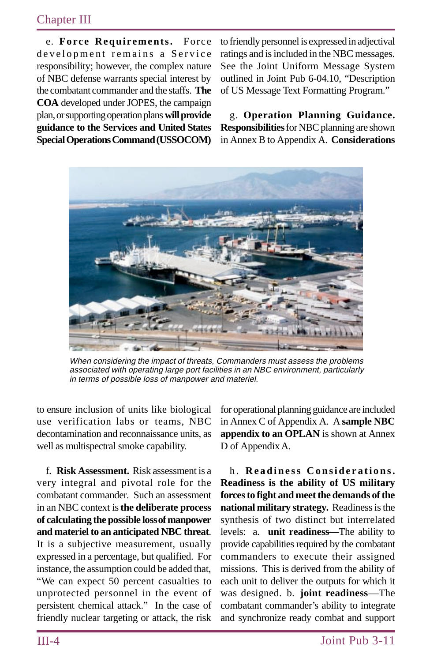e. **Force Requirements.** Force development remains a Service responsibility; however, the complex nature of NBC defense warrants special interest by the combatant commander and the staffs. **The COA** developed under JOPES, the campaign plan, or supporting operation plans **will provide guidance to the Services and United States Special Operations Command (USSOCOM)** to friendly personnel is expressed in adjectival ratings and is included in the NBC messages. See the Joint Uniform Message System outlined in Joint Pub 6-04.10, "Description of US Message Text Formatting Program."

g. **Operation Planning Guidance. Responsibilities** for NBC planning are shown in Annex B to Appendix A. **Considerations**



When considering the impact of threats, Commanders must assess the problems associated with operating large port facilities in an NBC environment, particularly in terms of possible loss of manpower and materiel.

to ensure inclusion of units like biological use verification labs or teams, NBC decontamination and reconnaissance units, as well as multispectral smoke capability.

f. **Risk Assessment.** Risk assessment is a very integral and pivotal role for the combatant commander. Such an assessment in an NBC context is **the deliberate process of calculating the possible loss of manpower and materiel to an anticipated NBC threat**. It is a subjective measurement, usually expressed in a percentage, but qualified. For instance, the assumption could be added that, "We can expect 50 percent casualties to unprotected personnel in the event of persistent chemical attack." In the case of friendly nuclear targeting or attack, the risk

for operational planning guidance are included in Annex C of Appendix A. A **sample NBC appendix to an OPLAN** is shown at Annex D of Appendix A.

h . **Readiness Considerations. Readiness is the ability of US military forces to fight and meet the demands of the national military strategy.** Readiness is the synthesis of two distinct but interrelated levels: a. **unit readiness**—The ability to provide capabilities required by the combatant commanders to execute their assigned missions. This is derived from the ability of each unit to deliver the outputs for which it was designed. b. **joint readiness**—The combatant commander's ability to integrate and synchronize ready combat and support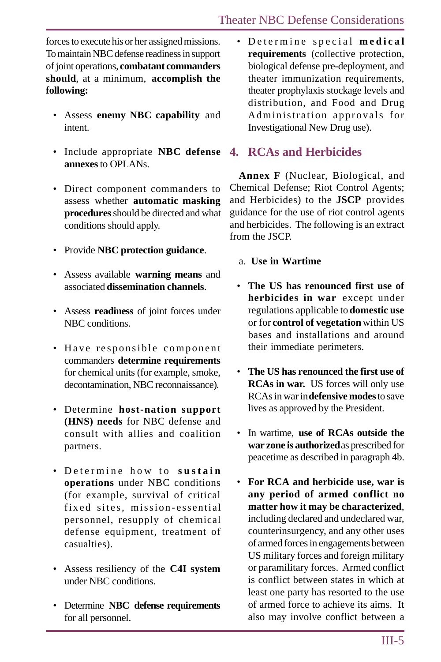<span id="page-33-0"></span>forces to execute his or her assigned missions. To maintain NBC defense readiness in support of joint operations, **combatant commanders should**, at a minimum, **accomplish the following:**

- Assess **enemy NBC capability** and intent.
- Include appropriate **NBC defense 4. RCAs and Herbicides annexes** to OPLANs.
- Direct component commanders to assess whether **automatic masking procedures** should be directed and what conditions should apply.
- Provide **NBC protection guidance**.
- Assess available **warning means** and associated **dissemination channels**.
- Assess **readiness** of joint forces under NBC conditions.
- Have responsible component commanders **determine requirements** for chemical units (for example, smoke, decontamination, NBC reconnaissance).
- Determine **host-nation support (HNS) needs** for NBC defense and consult with allies and coalition partners.
- Determine how to **sustain operations** under NBC conditions (for example, survival of critical fixed sites, mission- essential personnel, resupply of chemical defense equipment, treatment of casualties).
- Assess resiliency of the **C4I system** under NBC conditions.
- Determine **NBC defense requirements** for all personnel.

• Determine special **medical requirements** (collective protection, biological defense pre-deployment, and theater immunization requirements, theater prophylaxis stockage levels and distribution, and Food and Drug Administration approvals for Investigational New Drug use).

**Annex F** (Nuclear, Biological, and Chemical Defense; Riot Control Agents; and Herbicides) to the **JSCP** provides guidance for the use of riot control agents and herbicides. The following is an extract from the JSCP.

a. **Use in Wartime**

- **The US has renounced first use of herbicides in war** except under regulations applicable to **domestic use** or for **control of vegetation** within US bases and installations and around their immediate perimeters.
- **The US has renounced the first use of RCAs in war.** US forces will only use RCAs in war in **defensive modes** to save lives as approved by the President.
- In wartime, **use of RCAs outside the war zone is authorized** as prescribed for peacetime as described in paragraph 4b.
- **For RCA and herbicide use, war is any period of armed conflict no matter how it may be characterized**, including declared and undeclared war, counterinsurgency, and any other uses of armed forces in engagements between US military forces and foreign military or paramilitary forces. Armed conflict is conflict between states in which at least one party has resorted to the use of armed force to achieve its aims. It also may involve conflict between a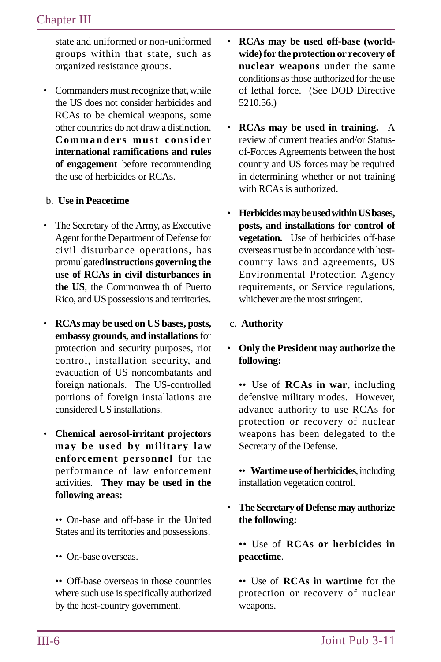state and uniformed or non-uniformed groups within that state, such as organized resistance groups.

• Commanders must recognize that, while the US does not consider herbicides and RCAs to be chemical weapons, some other countries do not draw a distinction. **Commanders must consider international ramifications and rules of engagement** before recommending the use of herbicides or RCAs.

#### b. **Use in Peacetime**

- The Secretary of the Army, as Executive Agent for the Department of Defense for civil disturbance operations, has promulgated **instructions governing the use of RCAs in civil disturbances in the US**, the Commonwealth of Puerto Rico, and US possessions and territories.
- **RCAs may be used on US bases, posts, embassy grounds, and installations** for protection and security purposes, riot control, installation security, and evacuation of US noncombatants and foreign nationals. The US-controlled portions of foreign installations are considered US installations.
- **Chemical aerosol-irritant projectors may be used by military law enforcement personnel** for the performance of law enforcement activities. **They may be used in the following areas:**

•• On-base and off-base in the United States and its territories and possessions.

•• On-base overseas.

•• Off-base overseas in those countries where such use is specifically authorized by the host-country government.

- **RCAs may be used off-base (worldwide) for the protection or recovery of nuclear weapons** under the same conditions as those authorized for the use of lethal force. (See DOD Directive 5210.56.)
- **RCAs may be used in training.** A review of current treaties and/or Statusof-Forces Agreements between the host country and US forces may be required in determining whether or not training with RCAs is authorized.
- **Herbicides may be used within US bases, posts, and installations for control of vegetation.** Use of herbicides off-base overseas must be in accordance with hostcountry laws and agreements, US Environmental Protection Agency requirements, or Service regulations, whichever are the most stringent.

#### c. **Authority**

#### • **Only the President may authorize the following:**

•• Use of **RCAs in war**, including defensive military modes. However, advance authority to use RCAs for protection or recovery of nuclear weapons has been delegated to the Secretary of the Defense.

•• **Wartime use of herbicides**, including installation vegetation control.

• **The Secretary of Defense may authorize the following:**

•• Use of **RCAs or herbicides in peacetime**.

•• Use of **RCAs in wartime** for the protection or recovery of nuclear weapons.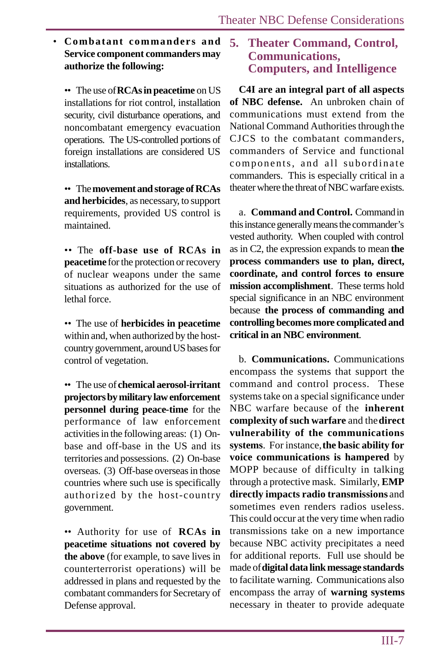#### <span id="page-35-0"></span>• **Combatant commanders and Service component commanders may authorize the following:**

•• The use of **RCAs in peacetime** on US installations for riot control, installation security, civil disturbance operations, and noncombatant emergency evacuation operations. The US-controlled portions of foreign installations are considered US installations.

•• The **movement and storage of RCAs and herbicides**, as necessary, to support requirements, provided US control is maintained.

•• The **off-base use of RCAs in peacetime** for the protection or recovery of nuclear weapons under the same situations as authorized for the use of lethal force.

•• The use of **herbicides in peacetime** within and, when authorized by the hostcountry government, around US bases for control of vegetation.

•• The use of **chemical aerosol-irritant projectors by military law enforcement personnel during peace-time** for the performance of law enforcement activities in the following areas: (1) Onbase and off-base in the US and its territories and possessions. (2) On-base overseas. (3) Off-base overseas in those countries where such use is specifically authorized by the host-country government.

•• Authority for use of **RCAs in peacetime situations not covered by the above** (for example, to save lives in counterterrorist operations) will be addressed in plans and requested by the combatant commanders for Secretary of Defense approval.

#### **5. Theater Command, Control, Communications, Computers, and Intelligence**

**C4I are an integral part of all aspects of NBC defense.** An unbroken chain of communications must extend from the National Command Authorities through the CJCS to the combatant commanders, commanders of Service and functional components, and all subordinate commanders. This is especially critical in a theater where the threat of NBC warfare exists.

a. **Command and Control.** Command in this instance generally means the commander's vested authority. When coupled with control as in C2, the expression expands to mean **the process commanders use to plan, direct, coordinate, and control forces to ensure mission accomplishment**. These terms hold special significance in an NBC environment because **the process of commanding and controlling becomes more complicated and critical in an NBC environment**.

b. **Communications.** Communications encompass the systems that support the command and control process. These systems take on a special significance under NBC warfare because of the **inherent complexity of such warfare** and the **direct vulnerability of the communications systems**. For instance, **the basic ability for voice communications is hampered** by MOPP because of difficulty in talking through a protective mask. Similarly, **EMP directly impacts radio transmissions** and sometimes even renders radios useless. This could occur at the very time when radio transmissions take on a new importance because NBC activity precipitates a need for additional reports. Full use should be made of **digital data link message standards** to facilitate warning. Communications also encompass the array of **warning systems** necessary in theater to provide adequate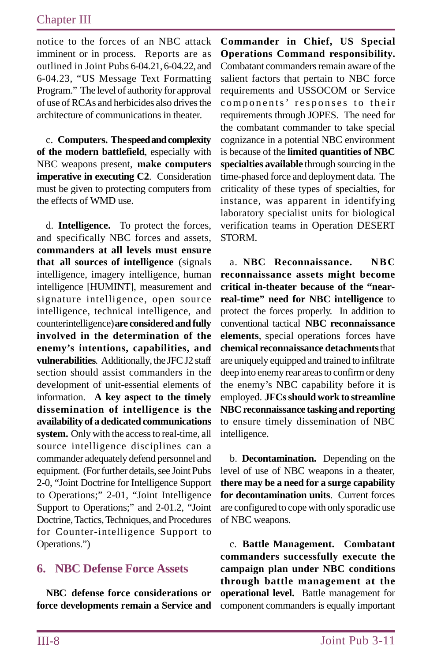notice to the forces of an NBC attack imminent or in process. Reports are as outlined in Joint Pubs 6-04.21, 6-04.22, and 6-04.23, "US Message Text Formatting Program." The level of authority for approval of use of RCAs and herbicides also drives the architecture of communications in theater.

c. **Computers. The speed and complexity of the modern battlefield**, especially with NBC weapons present, **make computers imperative in executing C2**. Consideration must be given to protecting computers from the effects of WMD use.

d. **Intelligence.** To protect the forces, and specifically NBC forces and assets, **commanders at all levels must ensure that all sources of intelligence** (signals intelligence, imagery intelligence, human intelligence [HUMINT], measurement and signature intelligence, open source intelligence, technical intelligence, and counterintelligence) **are considered and fully involved in the determination of the enemy's intentions, capabilities, and vulnerabilities**. Additionally, the JFC J2 staff section should assist commanders in the development of unit-essential elements of information. **A key aspect to the timely dissemination of intelligence is the availability of a dedicated communications system.** Only with the access to real-time, all source intelligence disciplines can a commander adequately defend personnel and equipment. (For further details, see Joint Pubs 2-0, "Joint Doctrine for Intelligence Support to Operations;" 2-01, "Joint Intelligence Support to Operations;" and 2-01.2, "Joint Doctrine, Tactics, Techniques, and Procedures for Counter-intelligence Support to Operations.")

### **6. NBC Defense Force Assets**

**NBC defense force considerations or force developments remain a Service and**

**Commander in Chief, US Special Operations Command responsibility.** Combatant commanders remain aware of the salient factors that pertain to NBC force requirements and USSOCOM or Service components' responses to their requirements through JOPES. The need for the combatant commander to take special cognizance in a potential NBC environment is because of the **limited quantities of NBC specialties available** through sourcing in the time-phased force and deployment data. The criticality of these types of specialties, for instance, was apparent in identifying laboratory specialist units for biological verification teams in Operation DESERT STORM.

a. **NBC Reconnaissance. NBC reconnaissance assets might become critical in-theater because of the "nearreal-time" need for NBC intelligence** to protect the forces properly. In addition to conventional tactical **NBC reconnaissance elements**, special operations forces have **chemical reconnaissance detachments** that are uniquely equipped and trained to infiltrate deep into enemy rear areas to confirm or deny the enemy's NBC capability before it is employed. **JFCs should work to streamline NBC reconnaissance tasking and reporting** to ensure timely dissemination of NBC intelligence.

b. **Decontamination.** Depending on the level of use of NBC weapons in a theater, **there may be a need for a surge capability for decontamination units**. Current forces are configured to cope with only sporadic use of NBC weapons.

c. **Battle Management. Combatant commanders successfully execute the campaign plan under NBC conditions through battle management at the operational level.** Battle management for component commanders is equally important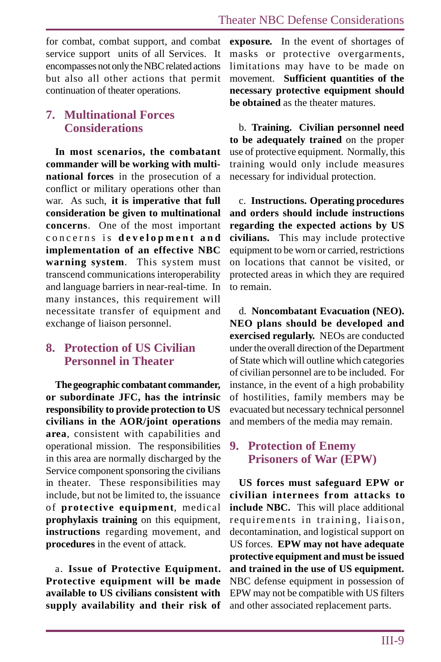for combat, combat support, and combat service support units of all Services. It encompasses not only the NBC related actions but also all other actions that permit continuation of theater operations.

# **7. Multinational Forces Considerations**

**In most scenarios, the combatant commander will be working with multinational forces** in the prosecution of a conflict or military operations other than war. As such, **it is imperative that full consideration be given to multinational concerns**. One of the most important concerns is **development and implementation of an effective NBC warning system**. This system must transcend communications interoperability and language barriers in near-real-time. In many instances, this requirement will necessitate transfer of equipment and exchange of liaison personnel.

### **8. Protection of US Civilian Personnel in Theater**

**The geographic combatant commander, or subordinate JFC, has the intrinsic responsibility to provide protection to US civilians in the AOR/joint operations area**, consistent with capabilities and operational mission. The responsibilities in this area are normally discharged by the Service component sponsoring the civilians in theater. These responsibilities may include, but not be limited to, the issuance of **protective equipment**, medical **prophylaxis training** on this equipment, **instructions** regarding movement, and **procedures** in the event of attack.

a. **Issue of Protective Equipment. Protective equipment will be made available to US civilians consistent with supply availability and their risk of** **exposure.** In the event of shortages of masks or protective overgarments, limitations may have to be made on movement. **Sufficient quantities of the necessary protective equipment should be obtained** as the theater matures.

b. **Training. Civilian personnel need to be adequately trained** on the proper use of protective equipment. Normally, this training would only include measures necessary for individual protection.

c. **Instructions. Operating procedures and orders should include instructions regarding the expected actions by US civilians.** This may include protective equipment to be worn or carried, restrictions on locations that cannot be visited, or protected areas in which they are required to remain.

d. **Noncombatant Evacuation (NEO). NEO plans should be developed and exercised regularly.** NEOs are conducted under the overall direction of the Department of State which will outline which categories of civilian personnel are to be included. For instance, in the event of a high probability of hostilities, family members may be evacuated but necessary technical personnel and members of the media may remain.

# **9. Protection of Enemy Prisoners of War (EPW)**

**US forces must safeguard EPW or civilian internees from attacks to include NBC.** This will place additional requirements in training, liaison, decontamination, and logistical support on US forces. **EPW may not have adequate protective equipment and must be issued and trained in the use of US equipment.** NBC defense equipment in possession of EPW may not be compatible with US filters and other associated replacement parts.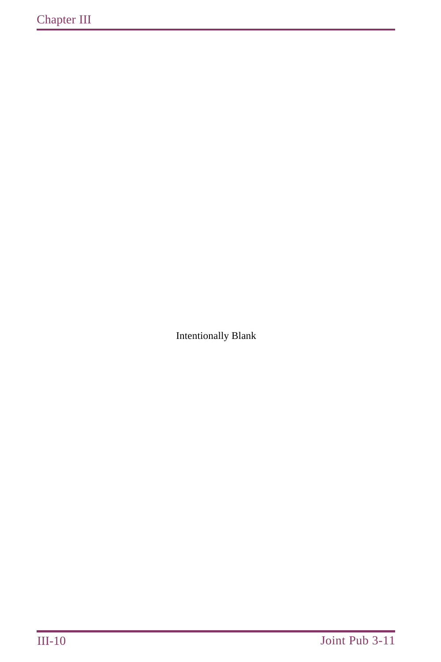Intentionally Blank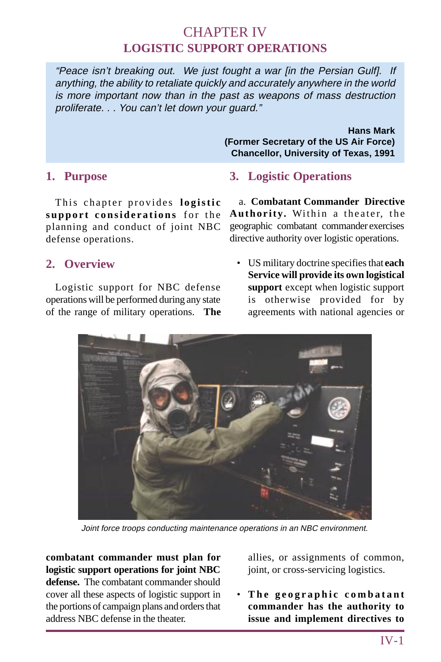# CHAPTER IV **LOGISTIC SUPPORT OPERATIONS**

"Peace isn't breaking out. We just fought a war [in the Persian Gulf]. If anything, the ability to retaliate quickly and accurately anywhere in the world is more important now than in the past as weapons of mass destruction proliferate. . . You can't let down your guard."

> **Hans Mark (Former Secretary of the US Air Force) Chancellor, University of Texas, 1991**

#### **1. Purpose**

This chapter provides **logistic support considerations** for the planning and conduct of joint NBC defense operations.

# **2. Overview**

Logistic support for NBC defense operations will be performed during any state of the range of military operations. **The**

# **3. Logistic Operations**

a. **Combatant Commander Directive Authority.** Within a theater, the geographic combatant commander exercises directive authority over logistic operations.

• US military doctrine specifies that **each Service will provide its own logistical support** except when logistic support is otherwise provided for by agreements with national agencies or



Joint force troops conducting maintenance operations in an NBC environment.

**combatant commander must plan for logistic support operations for joint NBC defense.** The combatant commander should cover all these aspects of logistic support in the portions of campaign plans and orders that address NBC defense in the theater.

allies, or assignments of common, joint, or cross-servicing logistics.

• **The geographic combatant commander has the authority to issue and implement directives to**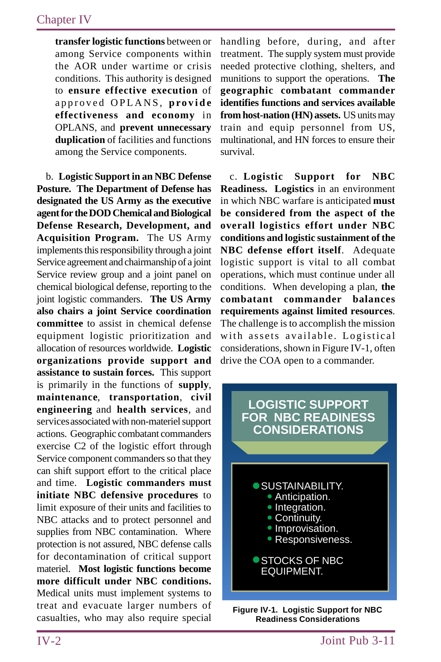**transfer logistic functions** between or among Service components within the AOR under wartime or crisis conditions. This authority is designed to **ensure effective execution** of approved OPLANS, **provide effectiveness and economy** in OPLANS, and **prevent unnecessary duplication** of facilities and functions among the Service components.

b. **Logistic Support in an NBC Defense Posture. The Department of Defense has designated the US Army as the executive agent for the DOD Chemical and Biological Defense Research, Development, and Acquisition Program.** The US Army implements this responsibility through a joint Service agreement and chairmanship of a joint Service review group and a joint panel on chemical biological defense, reporting to the joint logistic commanders. **The US Army also chairs a joint Service coordination committee** to assist in chemical defense equipment logistic prioritization and allocation of resources worldwide. **Logistic organizations provide support and assistance to sustain forces.** This support is primarily in the functions of **supply**, **maintenance**, **transportation**, **civil engineering** and **health services**, and services associated with non-materiel support actions. Geographic combatant commanders exercise C2 of the logistic effort through Service component commanders so that they can shift support effort to the critical place and time. **Logistic commanders must initiate NBC defensive procedures** to limit exposure of their units and facilities to NBC attacks and to protect personnel and supplies from NBC contamination. Where protection is not assured, NBC defense calls for decontamination of critical support materiel. **Most logistic functions become more difficult under NBC conditions.** Medical units must implement systems to treat and evacuate larger numbers of casualties, who may also require special

handling before, during, and after treatment. The supply system must provide needed protective clothing, shelters, and munitions to support the operations. **The geographic combatant commander identifies functions and services available from host-nation (HN) assets.** US units may train and equip personnel from US, multinational, and HN forces to ensure their survival.

c. **Logistic Support for NBC Readiness. Logistics** in an environment in which NBC warfare is anticipated **must be considered from the aspect of the overall logistics effort under NBC conditions and logistic sustainment of the NBC defense effort itself**. Adequate logistic support is vital to all combat operations, which must continue under all conditions. When developing a plan, **the combatant commander balances requirements against limited resources**. The challenge is to accomplish the mission with assets available. Logistical considerations, shown in Figure IV-1, often drive the COA open to a commander.



**Figure IV-1. Logistic Support for NBC Readiness Considerations**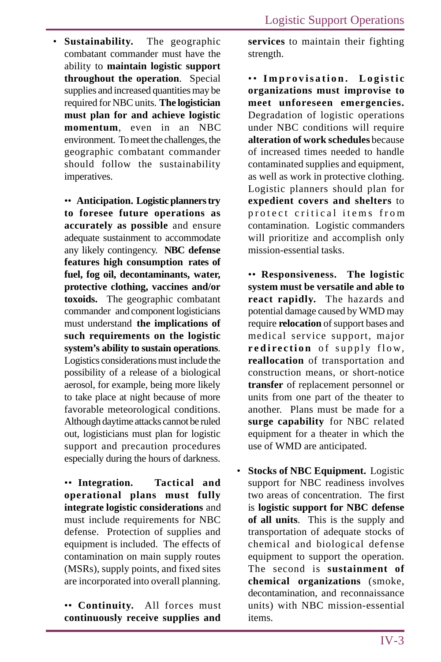• **Sustainability.** The geographic combatant commander must have the ability to **maintain logistic support throughout the operation**. Special supplies and increased quantities may be required for NBC units. **The logistician must plan for and achieve logistic momentum**, even in an NBC environment. To meet the challenges, the geographic combatant commander should follow the sustainability imperatives.

•• **Anticipation. Logistic planners try to foresee future operations as accurately as possible** and ensure adequate sustainment to accommodate any likely contingency. **NBC defense features high consumption rates of fuel, fog oil, decontaminants, water, protective clothing, vaccines and/or toxoids.** The geographic combatant commander and component logisticians must understand **the implications of such requirements on the logistic system's ability to sustain operations**. Logistics considerations must include the possibility of a release of a biological aerosol, for example, being more likely to take place at night because of more favorable meteorological conditions. Although daytime attacks cannot be ruled out, logisticians must plan for logistic support and precaution procedures especially during the hours of darkness.

•• **Integration. Tactical and operational plans must fully integrate logistic considerations** and must include requirements for NBC defense. Protection of supplies and equipment is included. The effects of contamination on main supply routes (MSRs), supply points, and fixed sites are incorporated into overall planning.

•• **Continuity.** All forces must **continuously receive supplies and** **services** to maintain their fighting strength.

• • **Improvisation. Logistic organizations must improvise to meet unforeseen emergencies.** Degradation of logistic operations under NBC conditions will require **alteration of work schedules** because of increased times needed to handle contaminated supplies and equipment, as well as work in protective clothing. Logistic planners should plan for **expedient covers and shelters** to protect critical items from contamination. Logistic commanders will prioritize and accomplish only mission-essential tasks.

•• **Responsiveness. The logistic system must be versatile and able to react rapidly.** The hazards and potential damage caused by WMD may require **relocation** of support bases and medical service support, major **redirection** of supply flow, **reallocation** of transportation and construction means, or short-notice **transfer** of replacement personnel or units from one part of the theater to another. Plans must be made for a **surge capability** for NBC related equipment for a theater in which the use of WMD are anticipated.

• **Stocks of NBC Equipment.** Logistic support for NBC readiness involves two areas of concentration. The first is **logistic support for NBC defense of all units**. This is the supply and transportation of adequate stocks of chemical and biological defense equipment to support the operation. The second is **sustainment of chemical organizations** (smoke, decontamination, and reconnaissance units) with NBC mission-essential items.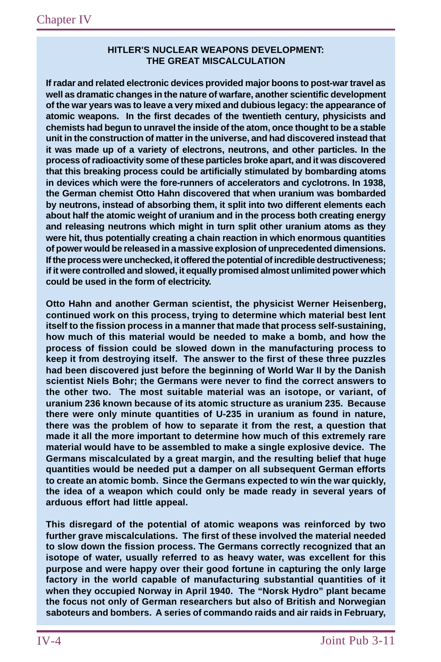#### **HITLER'S NUCLEAR WEAPONS DEVELOPMENT: THE GREAT MISCALCULATION**

**If radar and related electronic devices provided major boons to post-war travel as well as dramatic changes in the nature of warfare, another scientific development of the war years was to leave a very mixed and dubious legacy: the appearance of atomic weapons. In the first decades of the twentieth century, physicists and chemists had begun to unravel the inside of the atom, once thought to be a stable unit in the construction of matter in the universe, and had discovered instead that it was made up of a variety of electrons, neutrons, and other particles. In the process of radioactivity some of these particles broke apart, and it was discovered that this breaking process could be artificially stimulated by bombarding atoms in devices which were the fore-runners of accelerators and cyclotrons. In 1938, the German chemist Otto Hahn discovered that when uranium was bombarded by neutrons, instead of absorbing them, it split into two different elements each about half the atomic weight of uranium and in the process both creating energy and releasing neutrons which might in turn split other uranium atoms as they were hit, thus potentially creating a chain reaction in which enormous quantities of power would be released in a massive explosion of unprecedented dimensions. If the process were unchecked, it offered the potential of incredible destructiveness; if it were controlled and slowed, it equally promised almost unlimited power which could be used in the form of electricity.**

**Otto Hahn and another German scientist, the physicist Werner Heisenberg, continued work on this process, trying to determine which material best lent itself to the fission process in a manner that made that process self-sustaining, how much of this material would be needed to make a bomb, and how the process of fission could be slowed down in the manufacturing process to keep it from destroying itself. The answer to the first of these three puzzles had been discovered just before the beginning of World War II by the Danish scientist Niels Bohr; the Germans were never to find the correct answers to the other two. The most suitable material was an isotope, or variant, of uranium 236 known because of its atomic structure as uranium 235. Because there were only minute quantities of U-235 in uranium as found in nature, there was the problem of how to separate it from the rest, a question that made it all the more important to determine how much of this extremely rare material would have to be assembled to make a single explosive device. The Germans miscalculated by a great margin, and the resulting belief that huge quantities would be needed put a damper on all subsequent German efforts to create an atomic bomb. Since the Germans expected to win the war quickly, the idea of a weapon which could only be made ready in several years of arduous effort had little appeal.**

**This disregard of the potential of atomic weapons was reinforced by two further grave miscalculations. The first of these involved the material needed to slow down the fission process. The Germans correctly recognized that an isotope of water, usually referred to as heavy water, was excellent for this purpose and were happy over their good fortune in capturing the only large factory in the world capable of manufacturing substantial quantities of it when they occupied Norway in April 1940. The "Norsk Hydro" plant became the focus not only of German researchers but also of British and Norwegian saboteurs and bombers. A series of commando raids and air raids in February,**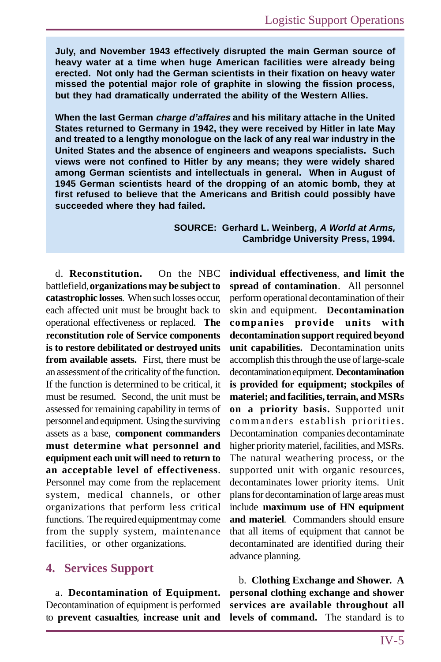**July, and November 1943 effectively disrupted the main German source of heavy water at a time when huge American facilities were already being erected. Not only had the German scientists in their fixation on heavy water missed the potential major role of graphite in slowing the fission process, but they had dramatically underrated the ability of the Western Allies.**

**When the last German charge d'affaires and his military attache in the United States returned to Germany in 1942, they were received by Hitler in late May and treated to a lengthy monologue on the lack of any real war industry in the United States and the absence of engineers and weapons specialists. Such views were not confined to Hitler by any means; they were widely shared among German scientists and intellectuals in general. When in August of 1945 German scientists heard of the dropping of an atomic bomb, they at first refused to believe that the Americans and British could possibly have succeeded where they had failed.**

#### **SOURCE: Gerhard L. Weinberg, A World at Arms, Cambridge University Press, 1994.**

d. **Reconstitution.** On the NBC battlefield, **organizations may be subject to catastrophic losses**. When such losses occur, each affected unit must be brought back to operational effectiveness or replaced. **The reconstitution role of Service components is to restore debilitated or destroyed units from available assets.** First, there must be an assessment of the criticality of the function. If the function is determined to be critical, it must be resumed. Second, the unit must be assessed for remaining capability in terms of personnel and equipment. Using the surviving assets as a base, **component commanders must determine what personnel and equipment each unit will need to return to an acceptable level of effectiveness**. Personnel may come from the replacement system, medical channels, or other organizations that perform less critical functions. The required equipment may come from the supply system, maintenance facilities, or other organizations.

#### **4. Services Support**

a. **Decontamination of Equipment.** Decontamination of equipment is performed to **prevent casualties**, **increase unit and** **individual effectiveness**, **and limit the spread of contamination**. All personnel perform operational decontamination of their skin and equipment. **Decontamination companies provide units with decontamination support required beyond unit capabilities.** Decontamination units accomplish this through the use of large-scale decontamination equipment. **Decontamination is provided for equipment; stockpiles of materiel; and facilities, terrain, and MSRs on a priority basis.** Supported unit commanders establish priorities. Decontamination companies decontaminate higher priority materiel, facilities, and MSRs. The natural weathering process, or the supported unit with organic resources, decontaminates lower priority items. Unit plans for decontamination of large areas must include **maximum use of HN equipment and materiel**.Commanders should ensure that all items of equipment that cannot be decontaminated are identified during their advance planning.

b. **Clothing Exchange and Shower. A personal clothing exchange and shower services are available throughout all levels of command.** The standard is to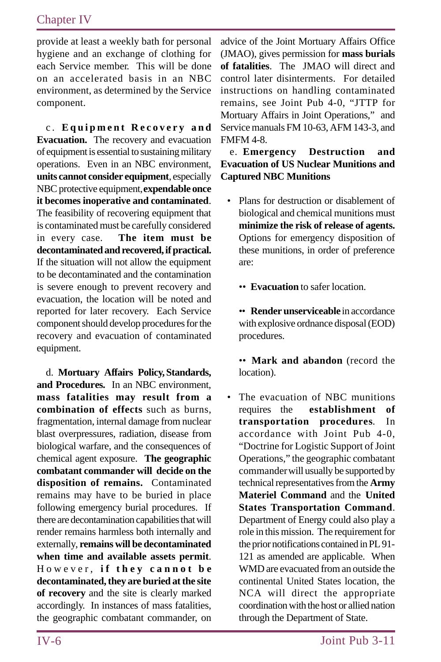provide at least a weekly bath for personal hygiene and an exchange of clothing for each Service member. This will be done on an accelerated basis in an NBC environment, as determined by the Service component.

c . **Equipment Recovery and Evacuation.** The recovery and evacuation of equipment is essential to sustaining military operations. Even in an NBC environment, **units cannot consider equipment**, especially NBC protective equipment, **expendable once it becomes inoperative and contaminated**. The feasibility of recovering equipment that is contaminated must be carefully considered in every case. **The item must be decontaminated and recovered, if practical.** If the situation will not allow the equipment to be decontaminated and the contamination is severe enough to prevent recovery and evacuation, the location will be noted and reported for later recovery. Each Service component should develop procedures for the recovery and evacuation of contaminated equipment.

d. **Mortuary Affairs Policy, Standards, and Procedures.** In an NBC environment, **mass fatalities may result from a combination of effects** such as burns, fragmentation, internal damage from nuclear blast overpressures, radiation, disease from biological warfare, and the consequences of chemical agent exposure. **The geographic combatant commander will decide on the disposition of remains.** Contaminated remains may have to be buried in place following emergency burial procedures. If there are decontamination capabilities that will render remains harmless both internally and externally, **remains will be decontaminated when time and available assets permit**. However, **if they cannot be decontaminated, they are buried at the site of recovery** and the site is clearly marked accordingly. In instances of mass fatalities, the geographic combatant commander, on

advice of the Joint Mortuary Affairs Office (JMAO), gives permission for **mass burials of fatalities**. The JMAO will direct and control later disinterments. For detailed instructions on handling contaminated remains, see Joint Pub 4-0, "JTTP for Mortuary Affairs in Joint Operations," and Service manuals FM 10-63, AFM 143-3, and FMFM 4-8.

#### e. **Emergency Destruction and Evacuation of US Nuclear Munitions and Captured NBC Munitions**

- Plans for destruction or disablement of biological and chemical munitions must **minimize the risk of release of agents.** Options for emergency disposition of these munitions, in order of preference are:
	- •• **Evacuation** to safer location.

•• **Render unserviceable** in accordance with explosive ordnance disposal (EOD) procedures.

•• **Mark and abandon** (record the location).

The evacuation of NBC munitions requires the **establishment of transportation procedures**. In accordance with Joint Pub 4-0, "Doctrine for Logistic Support of Joint Operations," the geographic combatant commander will usually be supported by technical representatives from the **Army Materiel Command** and the **United States Transportation Command**. Department of Energy could also play a role in this mission. The requirement for the prior notifications contained in PL 91- 121 as amended are applicable. When WMD are evacuated from an outside the continental United States location, the NCA will direct the appropriate coordination with the host or allied nation through the Department of State.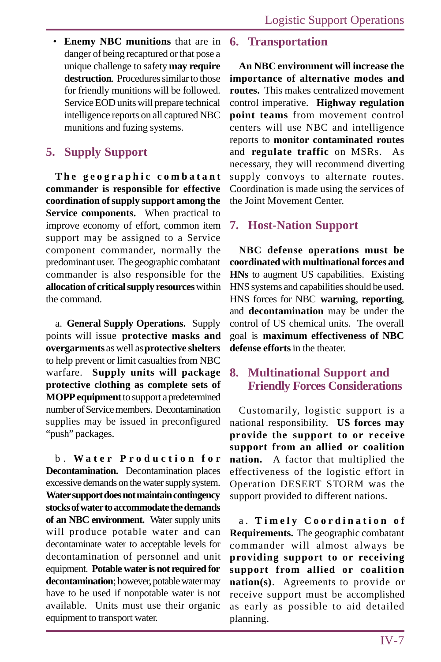• **Enemy NBC munitions** that are in danger of being recaptured or that pose a unique challenge to safety **may require destruction**. Procedures similar to those for friendly munitions will be followed. Service EOD units will prepare technical intelligence reports on all captured NBC munitions and fuzing systems.

# **5. Supply Support**

**The geographic combatant commander is responsible for effective coordination of supply support among the Service components.** When practical to improve economy of effort, common item support may be assigned to a Service component commander, normally the predominant user. The geographic combatant commander is also responsible for the **allocation of critical supply resources** within the command.

a. **General Supply Operations.** Supply points will issue **protective masks and overgarments** as well as **protective shelters** to help prevent or limit casualties from NBC warfare. **Supply units will package protective clothing as complete sets of MOPP equipment** to support a predetermined number of Service members. Decontamination supplies may be issued in preconfigured "push" packages.

b . **Water Production for Decontamination.** Decontamination places excessive demands on the water supply system. **Water support does not maintain contingency stocks of water to accommodate the demands of an NBC environment.** Water supply units will produce potable water and can decontaminate water to acceptable levels for decontamination of personnel and unit equipment. **Potable water is not required for decontamination**; however, potable water may have to be used if nonpotable water is not available. Units must use their organic equipment to transport water.

### **6. Transportation**

**An NBC environment will increase the importance of alternative modes and routes.** This makes centralized movement control imperative. **Highway regulation point teams** from movement control centers will use NBC and intelligence reports to **monitor contaminated routes** and **regulate traffic** on MSRs. As necessary, they will recommend diverting supply convoys to alternate routes. Coordination is made using the services of the Joint Movement Center.

# **7. Host-Nation Support**

**NBC defense operations must be coordinated with multinational forces and HNs** to augment US capabilities. Existing HNS systems and capabilities should be used. HNS forces for NBC **warning**, **reporting**, and **decontamination** may be under the control of US chemical units. The overall goal is **maximum effectiveness of NBC defense efforts** in the theater.

# **8. Multinational Support and Friendly Forces Considerations**

Customarily, logistic support is a national responsibility. **US forces may provide the support to or receive support from an allied or coalition nation.** A factor that multiplied the effectiveness of the logistic effort in Operation DESERT STORM was the support provided to different nations.

a . **Timely Coordination of Requirements.** The geographic combatant commander will almost always be **providing support to or receiving support from allied or coalition nation(s)**. Agreements to provide or receive support must be accomplished as early as possible to aid detailed planning.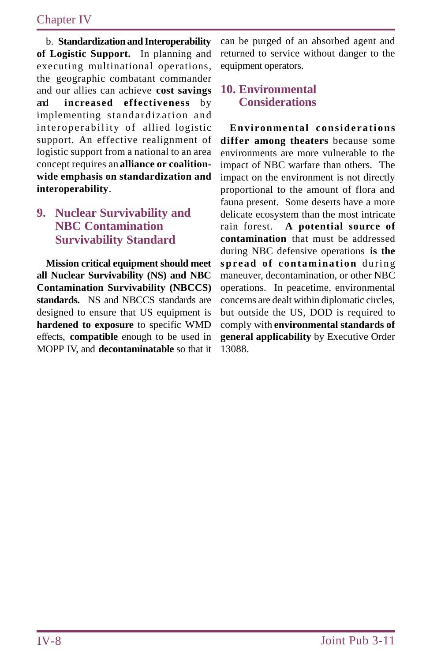b. **Standardization and Interoperability of Logistic Support.** In planning and executing multinational operations, the geographic combatant commander and our allies can achieve **cost savings** and **increased effectiveness** by implementing standardization and interoperability of allied logistic support. An effective realignment of logistic support from a national to an area concept requires an **alliance or coalitionwide emphasis on standardization and interoperability**.

# **9. Nuclear Survivability and NBC Contamination Survivability Standard**

**Mission critical equipment should meet all Nuclear Survivability (NS) and NBC Contamination Survivability (NBCCS) standards.** NS and NBCCS standards are designed to ensure that US equipment is **hardened to exposure** to specific WMD effects, **compatible** enough to be used in MOPP IV, and **decontaminatable** so that it

can be purged of an absorbed agent and returned to service without danger to the equipment operators.

### **10. Environmental Considerations**

**Environmental considerations differ among theaters** because some environments are more vulnerable to the impact of NBC warfare than others. The impact on the environment is not directly proportional to the amount of flora and fauna present. Some deserts have a more delicate ecosystem than the most intricate rain forest. **A potential source of contamination** that must be addressed during NBC defensive operations **is the spread of contamination** during maneuver, decontamination, or other NBC operations. In peacetime, environmental concerns are dealt within diplomatic circles, but outside the US, DOD is required to comply with **environmental standards of general applicability** by Executive Order 13088.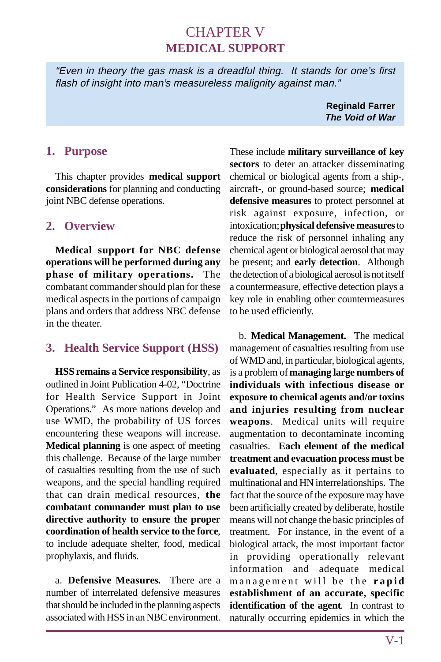# CHAPTER V **MEDICAL SUPPORT**

"Even in theory the gas mask is a dreadful thing. It stands for one's first flash of insight into man's measureless malignity against man."

> **Reginald Farrer The Void of War**

#### **1. Purpose**

This chapter provides **medical support considerations** for planning and conducting joint NBC defense operations.

# **2. Overview**

**Medical support for NBC defense operations will be performed during any phase of military operations.** The combatant commander should plan for these medical aspects in the portions of campaign plans and orders that address NBC defense in the theater.

# **3. Health Service Support (HSS)**

**HSS remains a Service responsibility**, as outlined in Joint Publication 4-02, "Doctrine for Health Service Support in Joint Operations." As more nations develop and use WMD, the probability of US forces encountering these weapons will increase. **Medical planning** is one aspect of meeting this challenge. Because of the large number of casualties resulting from the use of such weapons, and the special handling required that can drain medical resources, **the combatant commander must plan to use directive authority to ensure the proper coordination of health service to the force**, to include adequate shelter, food, medical prophylaxis, and fluids.

a. **Defensive Measures.** There are a number of interrelated defensive measures that should be included in the planning aspects associated with HSS in an NBC environment. These include **military surveillance of key sectors** to deter an attacker disseminating chemical or biological agents from a ship-, aircraft-, or ground-based source; **medical defensive measures** to protect personnel at risk against exposure, infection, or intoxication; **physical defensive measures** to reduce the risk of personnel inhaling any chemical agent or biological aerosol that may be present; and **early detection**. Although the detection of a biological aerosol is not itself a countermeasure, effective detection plays a key role in enabling other countermeasures to be used efficiently.

b. **Medical Management.** The medical management of casualties resulting from use of WMD and, in particular, biological agents, is a problem of **managing large numbers of individuals with infectious disease or exposure to chemical agents and/or toxins and injuries resulting from nuclear weapons**. Medical units will require augmentation to decontaminate incoming casualties. **Each element of the medical treatment and evacuation process must be evaluated**, especially as it pertains to multinational and HN interrelationships. The fact that the source of the exposure may have been artificially created by deliberate, hostile means will not change the basic principles of treatment. For instance, in the event of a biological attack, the most important factor in providing operationally relevant information and adequate medical management will be the **rapid establishment of an accurate, specific identification of the agent**. In contrast to naturally occurring epidemics in which the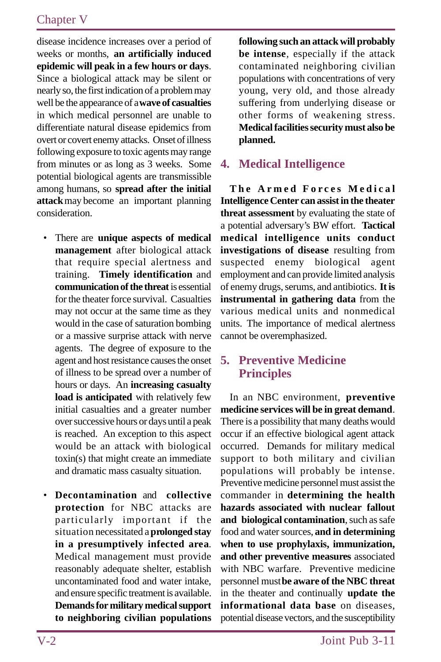disease incidence increases over a period of weeks or months, **an artificially induced epidemic will peak in a few hours or days**. Since a biological attack may be silent or nearly so, the first indication of a problem may well be the appearance of a **wave of casualties** in which medical personnel are unable to differentiate natural disease epidemics from overt or covert enemy attacks. Onset of illness following exposure to toxic agents may range from minutes or as long as 3 weeks. Some potential biological agents are transmissible among humans, so **spread after the initial attack** may become an important planning consideration.

- There are **unique aspects of medical management** after biological attack that require special alertness and training. **Timely identification** and **communication of the threat** is essential for the theater force survival. Casualties may not occur at the same time as they would in the case of saturation bombing or a massive surprise attack with nerve agents. The degree of exposure to the agent and host resistance causes the onset of illness to be spread over a number of hours or days. An **increasing casualty load is anticipated** with relatively few initial casualties and a greater number over successive hours or days until a peak is reached. An exception to this aspect would be an attack with biological toxin(s) that might create an immediate and dramatic mass casualty situation.
- **Decontamination** and **collective protection** for NBC attacks are particularly important if the situation necessitated a **prolonged stay in a presumptively infected area**. Medical management must provide reasonably adequate shelter, establish uncontaminated food and water intake, and ensure specific treatment is available. **Demands for military medical support to neighboring civilian populations**

**following such an attack will probably be intense**, especially if the attack contaminated neighboring civilian populations with concentrations of very young, very old, and those already suffering from underlying disease or other forms of weakening stress. **Medical facilities security must also be planned.**

#### **4. Medical Intelligence**

**The Armed Forces Medical Intelligence Center can assist in the theater threat assessment** by evaluating the state of a potential adversary's BW effort. **Tactical medical intelligence units conduct investigations of disease** resulting from suspected enemy biological agent employment and can provide limited analysis of enemy drugs, serums, and antibiotics. **It is instrumental in gathering data** from the various medical units and nonmedical units. The importance of medical alertness cannot be overemphasized.

### **5. Preventive Medicine Principles**

In an NBC environment, **preventive medicine services will be in great demand**. There is a possibility that many deaths would occur if an effective biological agent attack occurred. Demands for military medical support to both military and civilian populations will probably be intense. Preventive medicine personnel must assist the commander in **determining the health hazards associated with nuclear fallout and biological contamination**, such as safe food and water sources, **and in determining when to use prophylaxis, immunization, and other preventive measures** associated with NBC warfare. Preventive medicine personnel must **be aware of the NBC threat** in the theater and continually **update the informational data base** on diseases, potential disease vectors, and the susceptibility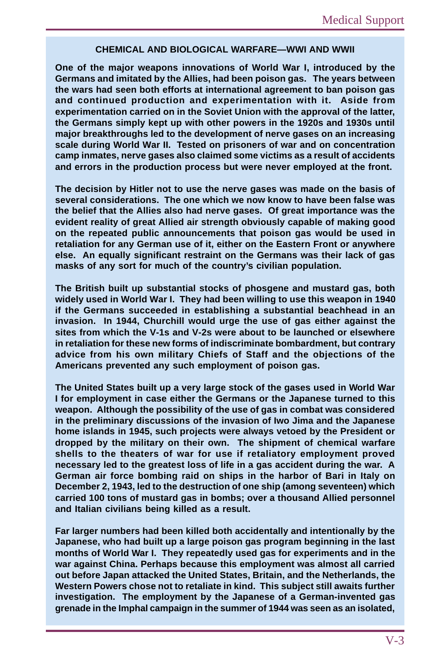#### **CHEMICAL AND BIOLOGICAL WARFARE—WWI AND WWII**

**One of the major weapons innovations of World War I, introduced by the Germans and imitated by the Allies, had been poison gas. The years between the wars had seen both efforts at international agreement to ban poison gas and continued production and experimentation with it. Aside from experimentation carried on in the Soviet Union with the approval of the latter, the Germans simply kept up with other powers in the 1920s and 1930s until major breakthroughs led to the development of nerve gases on an increasing scale during World War II. Tested on prisoners of war and on concentration camp inmates, nerve gases also claimed some victims as a result of accidents and errors in the production process but were never employed at the front.**

**The decision by Hitler not to use the nerve gases was made on the basis of several considerations. The one which we now know to have been false was the belief that the Allies also had nerve gases. Of great importance was the evident reality of great Allied air strength obviously capable of making good on the repeated public announcements that poison gas would be used in retaliation for any German use of it, either on the Eastern Front or anywhere else. An equally significant restraint on the Germans was their lack of gas masks of any sort for much of the country's civilian population.**

**The British built up substantial stocks of phosgene and mustard gas, both widely used in World War I. They had been willing to use this weapon in 1940 if the Germans succeeded in establishing a substantial beachhead in an invasion. In 1944, Churchill would urge the use of gas either against the sites from which the V-1s and V-2s were about to be launched or elsewhere in retaliation for these new forms of indiscriminate bombardment, but contrary advice from his own military Chiefs of Staff and the objections of the Americans prevented any such employment of poison gas.**

**The United States built up a very large stock of the gases used in World War I for employment in case either the Germans or the Japanese turned to this weapon. Although the possibility of the use of gas in combat was considered in the preliminary discussions of the invasion of Iwo Jima and the Japanese home islands in 1945, such projects were always vetoed by the President or dropped by the military on their own. The shipment of chemical warfare shells to the theaters of war for use if retaliatory employment proved necessary led to the greatest loss of life in a gas accident during the war. A German air force bombing raid on ships in the harbor of Bari in Italy on December 2, 1943, led to the destruction of one ship (among seventeen) which carried 100 tons of mustard gas in bombs; over a thousand Allied personnel and Italian civilians being killed as a result.**

**Far larger numbers had been killed both accidentally and intentionally by the Japanese, who had built up a large poison gas program beginning in the last months of World War I. They repeatedly used gas for experiments and in the war against China. Perhaps because this employment was almost all carried out before Japan attacked the United States, Britain, and the Netherlands, the Western Powers chose not to retaliate in kind. This subject still awaits further investigation. The employment by the Japanese of a German-invented gas grenade in the Imphal campaign in the summer of 1944 was seen as an isolated,**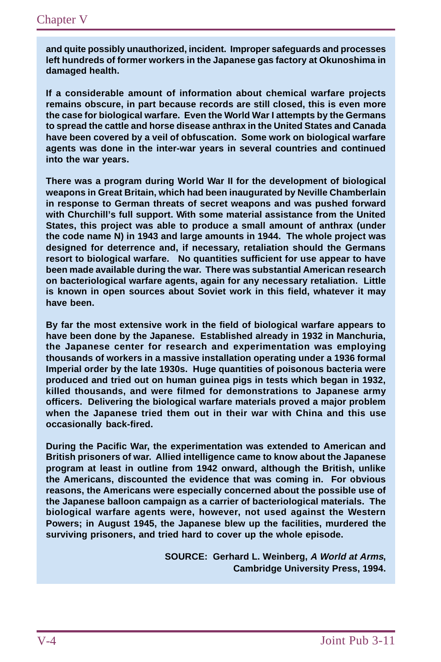**and quite possibly unauthorized, incident. Improper safeguards and processes left hundreds of former workers in the Japanese gas factory at Okunoshima in damaged health.**

**If a considerable amount of information about chemical warfare projects remains obscure, in part because records are still closed, this is even more the case for biological warfare. Even the World War I attempts by the Germans to spread the cattle and horse disease anthrax in the United States and Canada have been covered by a veil of obfuscation. Some work on biological warfare agents was done in the inter-war years in several countries and continued into the war years.**

**There was a program during World War II for the development of biological weapons in Great Britain, which had been inaugurated by Neville Chamberlain in response to German threats of secret weapons and was pushed forward with Churchill's full support. With some material assistance from the United States, this project was able to produce a small amount of anthrax (under the code name N) in 1943 and large amounts in 1944. The whole project was designed for deterrence and, if necessary, retaliation should the Germans resort to biological warfare. No quantities sufficient for use appear to have been made available during the war. There was substantial American research on bacteriological warfare agents, again for any necessary retaliation. Little is known in open sources about Soviet work in this field, whatever it may have been.**

**By far the most extensive work in the field of biological warfare appears to have been done by the Japanese. Established already in 1932 in Manchuria, the Japanese center for research and experimentation was employing thousands of workers in a massive installation operating under a 1936 formal Imperial order by the late 1930s. Huge quantities of poisonous bacteria were produced and tried out on human guinea pigs in tests which began in 1932, killed thousands, and were filmed for demonstrations to Japanese army officers. Delivering the biological warfare materials proved a major problem when the Japanese tried them out in their war with China and this use occasionally back-fired.**

**During the Pacific War, the experimentation was extended to American and British prisoners of war. Allied intelligence came to know about the Japanese program at least in outline from 1942 onward, although the British, unlike the Americans, discounted the evidence that was coming in. For obvious reasons, the Americans were especially concerned about the possible use of the Japanese balloon campaign as a carrier of bacteriological materials. The biological warfare agents were, however, not used against the Western Powers; in August 1945, the Japanese blew up the facilities, murdered the surviving prisoners, and tried hard to cover up the whole episode.**

> **SOURCE: Gerhard L. Weinberg, A World at Arms, Cambridge University Press, 1994.**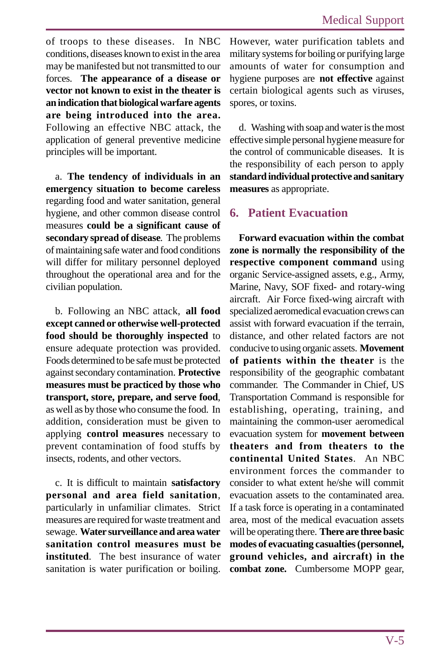of troops to these diseases. In NBC conditions, diseases known to exist in the area may be manifested but not transmitted to our forces. **The appearance of a disease or vector not known to exist in the theater is an indication that biological warfare agents are being introduced into the area.** Following an effective NBC attack, the application of general preventive medicine principles will be important.

a. **The tendency of individuals in an emergency situation to become careless** regarding food and water sanitation, general hygiene, and other common disease control measures **could be a significant cause of secondary spread of disease**. The problems of maintaining safe water and food conditions will differ for military personnel deployed throughout the operational area and for the civilian population.

b. Following an NBC attack, **all food except canned or otherwise well-protected food should be thoroughly inspected** to ensure adequate protection was provided. Foods determined to be safe must be protected against secondary contamination. **Protective measures must be practiced by those who transport, store, prepare, and serve food**, as well as by those who consume the food. In addition, consideration must be given to applying **control measures** necessary to prevent contamination of food stuffs by insects, rodents, and other vectors.

c. It is difficult to maintain **satisfactory personal and area field sanitation**, particularly in unfamiliar climates. Strict measures are required for waste treatment and sewage. **Water surveillance and area water sanitation control measures must be instituted**. The best insurance of water sanitation is water purification or boiling.

However, water purification tablets and military systems for boiling or purifying large amounts of water for consumption and hygiene purposes are **not effective** against certain biological agents such as viruses, spores, or toxins.

d. Washing with soap and water is the most effective simple personal hygiene measure for the control of communicable diseases. It is the responsibility of each person to apply **standard individual protective and sanitary measures** as appropriate.

#### **6. Patient Evacuation**

**Forward evacuation within the combat zone is normally the responsibility of the respective component command** using organic Service-assigned assets, e.g., Army, Marine, Navy, SOF fixed- and rotary-wing aircraft. Air Force fixed-wing aircraft with specialized aeromedical evacuation crews can assist with forward evacuation if the terrain, distance, and other related factors are not conducive to using organic assets. **Movement of patients within the theater** is the responsibility of the geographic combatant commander. The Commander in Chief, US Transportation Command is responsible for establishing, operating, training, and maintaining the common-user aeromedical evacuation system for **movement between theaters and from theaters to the continental United States**. An NBC environment forces the commander to consider to what extent he/she will commit evacuation assets to the contaminated area. If a task force is operating in a contaminated area, most of the medical evacuation assets will be operating there. **There are three basic modes of evacuating casualties (personnel, ground vehicles, and aircraft) in the combat zone.** Cumbersome MOPP gear,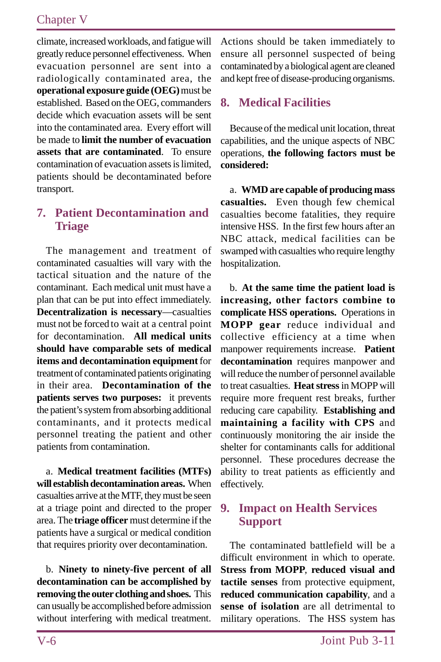climate, increased workloads, and fatigue will greatly reduce personnel effectiveness. When evacuation personnel are sent into a radiologically contaminated area, the **operational exposure guide (OEG)** must be established. Based on the OEG, commanders decide which evacuation assets will be sent into the contaminated area. Every effort will be made to **limit the number of evacuation assets that are contaminated**. To ensure contamination of evacuation assets is limited, patients should be decontaminated before transport.

# **7. Patient Decontamination and Triage**

The management and treatment of contaminated casualties will vary with the tactical situation and the nature of the contaminant. Each medical unit must have a plan that can be put into effect immediately. **Decentralization is necessary**—casualties must not be forced to wait at a central point for decontamination. **All medical units should have comparable sets of medical items and decontamination equipment** for treatment of contaminated patients originating in their area. **Decontamination of the patients serves two purposes:** it prevents the patient's system from absorbing additional contaminants, and it protects medical personnel treating the patient and other patients from contamination.

a. **Medical treatment facilities (MTFs) will establish decontamination areas.** When casualties arrive at the MTF, they must be seen at a triage point and directed to the proper area. The **triage officer** must determine if the patients have a surgical or medical condition that requires priority over decontamination.

b. **Ninety to ninety-five percent of all decontamination can be accomplished by removing the outer clothing and shoes.** This can usually be accomplished before admission without interfering with medical treatment. Actions should be taken immediately to ensure all personnel suspected of being contaminated by a biological agent are cleaned and kept free of disease-producing organisms.

### **8. Medical Facilities**

Because of the medical unit location, threat capabilities, and the unique aspects of NBC operations, **the following factors must be considered:**

a. **WMD are capable of producing mass casualties.** Even though few chemical casualties become fatalities, they require intensive HSS. In the first few hours after an NBC attack, medical facilities can be swamped with casualties who require lengthy hospitalization.

b. **At the same time the patient load is increasing, other factors combine to complicate HSS operations.** Operations in **MOPP gear** reduce individual and collective efficiency at a time when manpower requirements increase. **Patient decontamination** requires manpower and will reduce the number of personnel available to treat casualties. **Heat stress** in MOPP will require more frequent rest breaks, further reducing care capability. **Establishing and maintaining a facility with CPS** and continuously monitoring the air inside the shelter for contaminants calls for additional personnel. These procedures decrease the ability to treat patients as efficiently and effectively.

### **9. Impact on Health Services Support**

The contaminated battlefield will be a difficult environment in which to operate. **Stress from MOPP**, **reduced visual and tactile senses** from protective equipment, **reduced communication capability**, and a **sense of isolation** are all detrimental to military operations. The HSS system has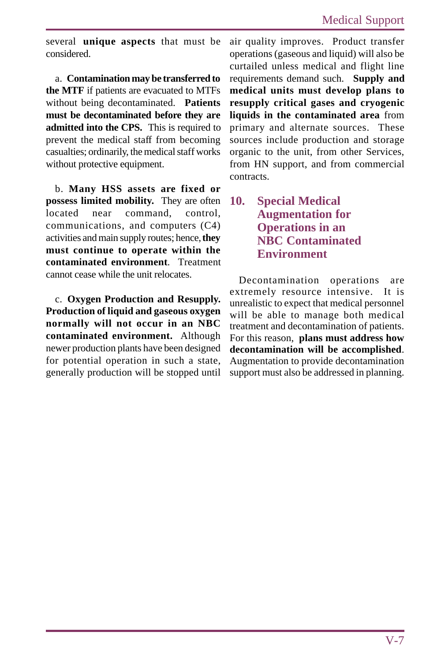several **unique aspects** that must be considered.

a. **Contamination may be transferred to the MTF** if patients are evacuated to MTFs without being decontaminated. **Patients must be decontaminated before they are admitted into the CPS.** This is required to prevent the medical staff from becoming casualties; ordinarily, the medical staff works without protective equipment.

b. **Many HSS assets are fixed or possess limited mobility.** They are often located near command, control, communications, and computers (C4) activities and main supply routes; hence, **they must continue to operate within the contaminated environment**. Treatment cannot cease while the unit relocates.

c. **Oxygen Production and Resupply. Production of liquid and gaseous oxygen normally will not occur in an NBC contaminated environment.** Although newer production plants have been designed for potential operation in such a state, generally production will be stopped until air quality improves. Product transfer operations (gaseous and liquid) will also be curtailed unless medical and flight line requirements demand such. **Supply and medical units must develop plans to resupply critical gases and cryogenic liquids in the contaminated area** from primary and alternate sources. These sources include production and storage organic to the unit, from other Services, from HN support, and from commercial contracts.

# **10. Special Medical Augmentation for Operations in an NBC Contaminated Environment**

Decontamination operations are extremely resource intensive. It is unrealistic to expect that medical personnel will be able to manage both medical treatment and decontamination of patients. For this reason, **plans must address how decontamination will be accomplished**. Augmentation to provide decontamination support must also be addressed in planning.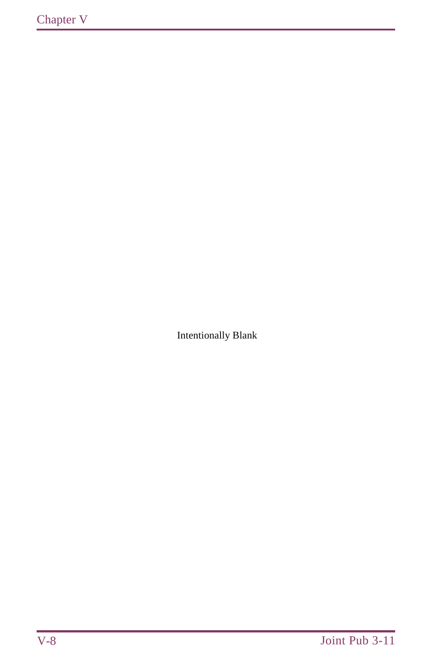Intentionally Blank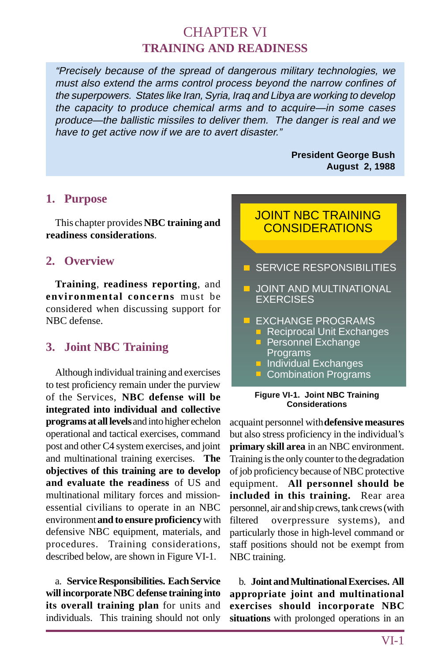# CHAPTER VI **TRAINING AND READINESS**

"Precisely because of the spread of dangerous military technologies, we must also extend the arms control process beyond the narrow confines of the superpowers. States like Iran, Syria, Iraq and Libya are working to develop the capacity to produce chemical arms and to acquire—in some cases produce—the ballistic missiles to deliver them. The danger is real and we have to get active now if we are to avert disaster."

> **President George Bush August 2, 1988**

### **1. Purpose**

This chapter provides **NBC training and readiness considerations**.

# **2. Overview**

**Training**, **readiness reporting**, and **environmental concerns** must be considered when discussing support for NBC defense.

# **3. Joint NBC Training**

Although individual training and exercises to test proficiency remain under the purview of the Services, **NBC defense will be integrated into individual and collective programs at all levels** and into higher echelon operational and tactical exercises, command post and other C4 system exercises, and joint and multinational training exercises. **The objectives of this training are to develop and evaluate the readiness** of US and multinational military forces and missionessential civilians to operate in an NBC environment **and to ensure proficiency** with defensive NBC equipment, materials, and procedures. Training considerations, described below, are shown in Figure VI-1.

a. **Service Responsibilities. Each Service will incorporate NBC defense training into its overall training plan** for units and individuals. This training should not only

# JOINT NBC TRAINING **CONSIDERATIONS SERVICE RESPONSIBILITIES JOINT AND MULTINATIONAL** EXERCISES **EXCHANGE PROGRAMS** Reciprocal Unit Exchanges **Personnel Exchange Programs**  $\blacksquare$  Individual Exchanges Combination Programs

#### **Figure VI-1. Joint NBC Training Considerations**

acquaint personnel with **defensive measures** but also stress proficiency in the individual's **primary skill area** in an NBC environment. Training is the only counter to the degradation of job proficiency because of NBC protective equipment. **All personnel should be included in this training.** Rear area personnel, air and ship crews, tank crews (with filtered overpressure systems), and particularly those in high-level command or staff positions should not be exempt from NBC training.

b. **Joint and Multinational Exercises. All appropriate joint and multinational exercises should incorporate NBC situations** with prolonged operations in an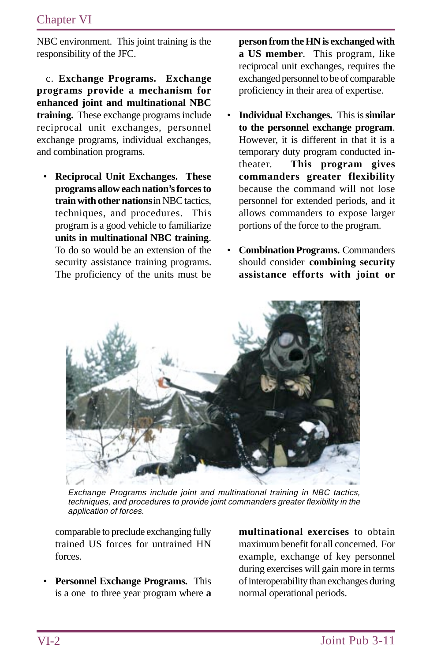NBC environment. This joint training is the responsibility of the JFC.

c. **Exchange Programs. Exchange programs provide a mechanism for enhanced joint and multinational NBC training.** These exchange programs include reciprocal unit exchanges, personnel exchange programs, individual exchanges, and combination programs.

• **Reciprocal Unit Exchanges. These programs allow each nation's forces to train with other nations in NBC tactics.** techniques, and procedures. This program is a good vehicle to familiarize **units in multinational NBC training**. To do so would be an extension of the security assistance training programs. The proficiency of the units must be

**person from the HN is exchanged with a US member**. This program, like reciprocal unit exchanges, requires the exchanged personnel to be of comparable proficiency in their area of expertise.

- **Individual Exchanges.** This is **similar to the personnel exchange program**. However, it is different in that it is a temporary duty program conducted intheater. **This program gives commanders greater flexibility** because the command will not lose personnel for extended periods, and it allows commanders to expose larger portions of the force to the program.
- **Combination Programs.** Commanders should consider **combining security assistance efforts with joint or**



Exchange Programs include joint and multinational training in NBC tactics, techniques, and procedures to provide joint commanders greater flexibility in the application of forces.

comparable to preclude exchanging fully trained US forces for untrained HN forces.

• **Personnel Exchange Programs.** This is a one to three year program where **a**

**multinational exercises** to obtain maximum benefit for all concerned. For example, exchange of key personnel during exercises will gain more in terms of interoperability than exchanges during normal operational periods.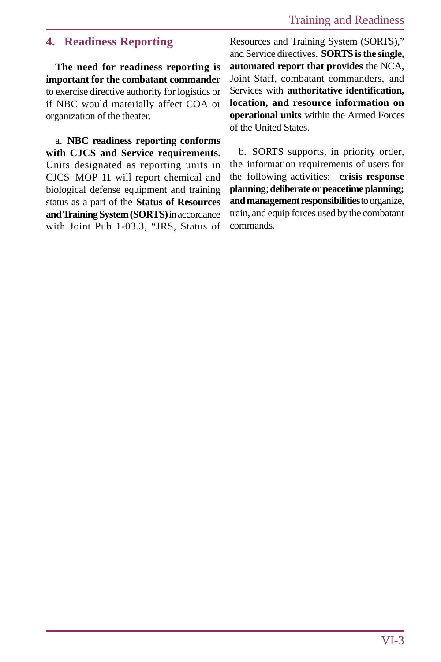# **4. Readiness Reporting**

**The need for readiness reporting is important for the combatant commander** to exercise directive authority for logistics or if NBC would materially affect COA or organization of the theater.

a. **NBC readiness reporting conforms with CJCS and Service requirements.** Units designated as reporting units in CJCS MOP 11 will report chemical and biological defense equipment and training status as a part of the **Status of Resources and Training System (SORTS)** in accordance with Joint Pub 1-03.3, "JRS, Status of

Resources and Training System (SORTS)," and Service directives. **SORTS is the single, automated report that provides** the NCA, Joint Staff, combatant commanders, and Services with **authoritative identification, location, and resource information on operational units** within the Armed Forces of the United States.

b. SORTS supports, in priority order, the information requirements of users for the following activities: **crisis response planning**; **deliberate or peacetime planning; and management responsibilities** to organize, train, and equip forces used by the combatant commands.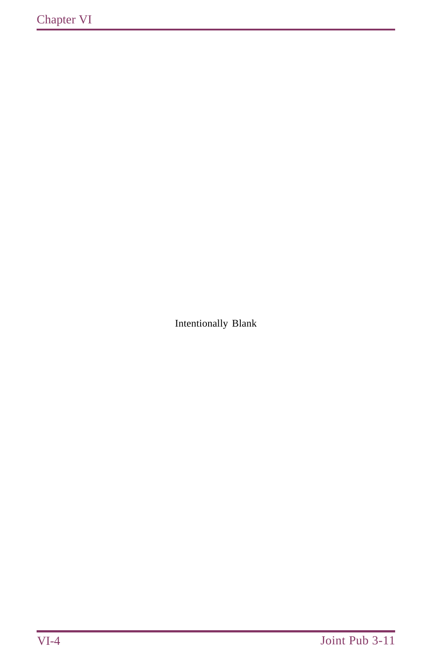Intentionally Blank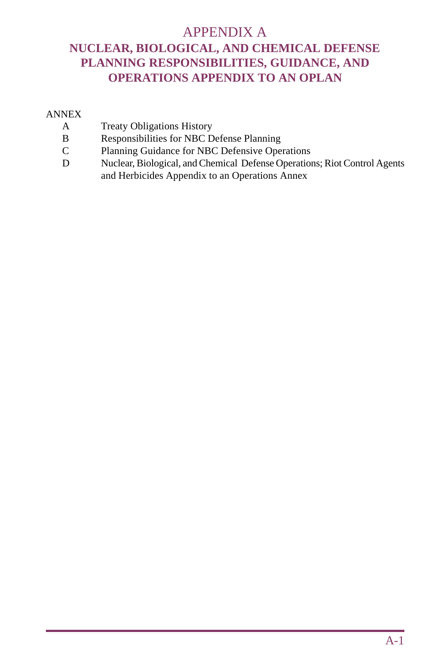# [APPENDIX A](#page-67-0) **NUCLEAR, BIOLOGICAL, AND CHEMICAL DEFENSE PLANNING RESPONSIBILITIES, GUIDANCE, AND OPERATIONS APPENDIX TO AN OPLAN**

#### ANNEX

- A Treaty Obligations History<br>B Responsibilities for NBC D
- B Responsibilities for NBC Defense Planning<br>C Planning Guidance for NBC Defensive Ope
- C Planning Guidance for NBC Defensive Operations<br>D Nuclear, Biological, and Chemical Defense Operation
- Nuclear, Biological, and Chemical Defense Operations; Riot Control Agents and Herbicides Appendix to an Operations Annex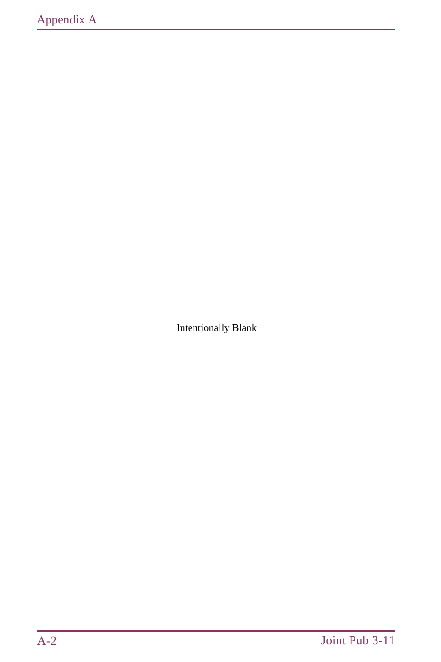Intentionally Blank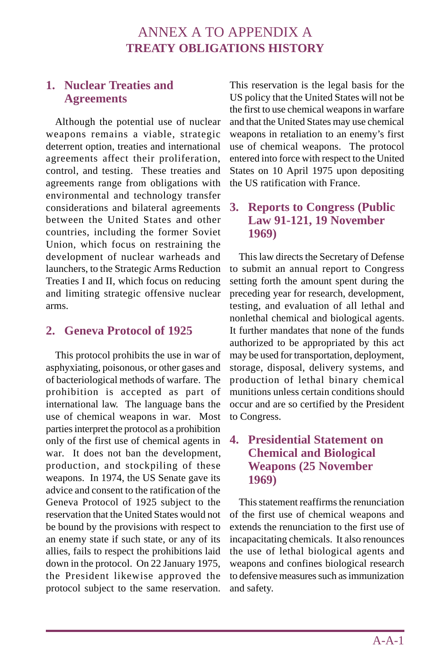# ANNEX A TO APPENDIX A **TREATY OBLIGATIONS HISTORY**

# **1. Nuclear Treaties and Agreements**

Although the potential use of nuclear weapons remains a viable, strategic deterrent option, treaties and international agreements affect their proliferation, control, and testing. These treaties and agreements range from obligations with environmental and technology transfer considerations and bilateral agreements between the United States and other countries, including the former Soviet Union, which focus on restraining the development of nuclear warheads and launchers, to the Strategic Arms Reduction Treaties I and II, which focus on reducing and limiting strategic offensive nuclear arms.

### **2. Geneva Protocol of 1925**

This protocol prohibits the use in war of asphyxiating, poisonous, or other gases and of bacteriological methods of warfare. The prohibition is accepted as part of international law. The language bans the use of chemical weapons in war. Most parties interpret the protocol as a prohibition only of the first use of chemical agents in war. It does not ban the development, production, and stockpiling of these weapons. In 1974, the US Senate gave its advice and consent to the ratification of the Geneva Protocol of 1925 subject to the reservation that the United States would not be bound by the provisions with respect to an enemy state if such state, or any of its allies, fails to respect the prohibitions laid down in the protocol. On 22 January 1975, the President likewise approved the protocol subject to the same reservation.

This reservation is the legal basis for the US policy that the United States will not be the first to use chemical weapons in warfare and that the United States may use chemical weapons in retaliation to an enemy's first use of chemical weapons. The protocol entered into force with respect to the United States on 10 April 1975 upon depositing the US ratification with France.

## **3. Reports to Congress (Public Law 91-121, 19 November 1969)**

This law directs the Secretary of Defense to submit an annual report to Congress setting forth the amount spent during the preceding year for research, development, testing, and evaluation of all lethal and nonlethal chemical and biological agents. It further mandates that none of the funds authorized to be appropriated by this act may be used for transportation, deployment, storage, disposal, delivery systems, and production of lethal binary chemical munitions unless certain conditions should occur and are so certified by the President to Congress.

# **4. Presidential Statement on Chemical and Biological Weapons (25 November 1969)**

This statement reaffirms the renunciation of the first use of chemical weapons and extends the renunciation to the first use of incapacitating chemicals. It also renounces the use of lethal biological agents and weapons and confines biological research to defensive measures such as immunization and safety.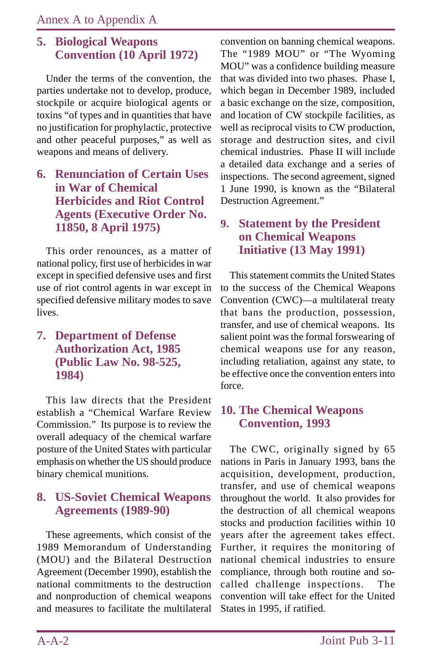# **5. Biological Weapons Convention (10 April 1972)**

Under the terms of the convention, the parties undertake not to develop, produce, stockpile or acquire biological agents or toxins "of types and in quantities that have no justification for prophylactic, protective and other peaceful purposes," as well as weapons and means of delivery.

# **6. Renunciation of Certain Uses in War of Chemical Herbicides and Riot Control Agents (Executive Order No. 11850, 8 April 1975)**

This order renounces, as a matter of national policy, first use of herbicides in war except in specified defensive uses and first use of riot control agents in war except in specified defensive military modes to save lives.

# **7. Department of Defense Authorization Act, 1985 (Public Law No. 98-525, 1984)**

This law directs that the President establish a "Chemical Warfare Review Commission." Its purpose is to review the overall adequacy of the chemical warfare posture of the United States with particular emphasis on whether the US should produce binary chemical munitions.

# **8. US-Soviet Chemical Weapons Agreements (1989-90)**

These agreements, which consist of the 1989 Memorandum of Understanding (MOU) and the Bilateral Destruction Agreement (December 1990), establish the national commitments to the destruction and nonproduction of chemical weapons and measures to facilitate the multilateral convention on banning chemical weapons. The "1989 MOU" or "The Wyoming MOU" was a confidence building measure that was divided into two phases. Phase I, which began in December 1989, included a basic exchange on the size, composition, and location of CW stockpile facilities, as well as reciprocal visits to CW production, storage and destruction sites, and civil chemical industries. Phase II will include a detailed data exchange and a series of inspections. The second agreement, signed 1 June 1990, is known as the "Bilateral Destruction Agreement."

## **9. Statement by the President on Chemical Weapons Initiative (13 May 1991)**

This statement commits the United States to the success of the Chemical Weapons Convention (CWC)—a multilateral treaty that bans the production, possession, transfer, and use of chemical weapons. Its salient point was the formal forswearing of chemical weapons use for any reason, including retaliation, against any state, to be effective once the convention enters into force.

# **10. The Chemical Weapons Convention, 1993**

The CWC, originally signed by 65 nations in Paris in January 1993, bans the acquisition, development, production, transfer, and use of chemical weapons throughout the world. It also provides for the destruction of all chemical weapons stocks and production facilities within 10 years after the agreement takes effect. Further, it requires the monitoring of national chemical industries to ensure compliance, through both routine and socalled challenge inspections. The convention will take effect for the United States in 1995, if ratified.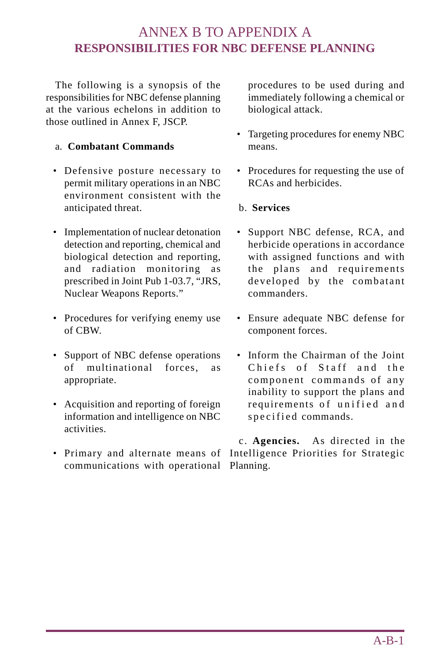# ANNEX B TO APPENDIX A **RESPONSIBILITIES FOR NBC DEFENSE PLANNING**

The following is a synopsis of the responsibilities for NBC defense planning at the various echelons in addition to those outlined in Annex F, JSCP.

#### a. **Combatant Commands**

- Defensive posture necessary to permit military operations in an NBC environment consistent with the anticipated threat.
- Implementation of nuclear detonation detection and reporting, chemical and biological detection and reporting, and radiation monitoring as prescribed in Joint Pub 1-03.7, "JRS, Nuclear Weapons Reports."
- Procedures for verifying enemy use of CBW.
- Support of NBC defense operations of multinational forces, as appropriate.
- Acquisition and reporting of foreign information and intelligence on NBC activities.
- communications with operational Planning.

procedures to be used during and immediately following a chemical or biological attack.

- Targeting procedures for enemy NBC means.
- Procedures for requesting the use of RCAs and herbicides.

#### b. **Services**

- Support NBC defense, RCA, and herbicide operations in accordance with assigned functions and with the plans and requirements developed by the combatant commanders.
- Ensure adequate NBC defense for component forces.
- Inform the Chairman of the Joint Chiefs of Staff and the component commands of any inability to support the plans and requirements of unified and specified commands.

• Primary and alternate means of Intelligence Priorities for Strategic c. **Agencies.** As directed in the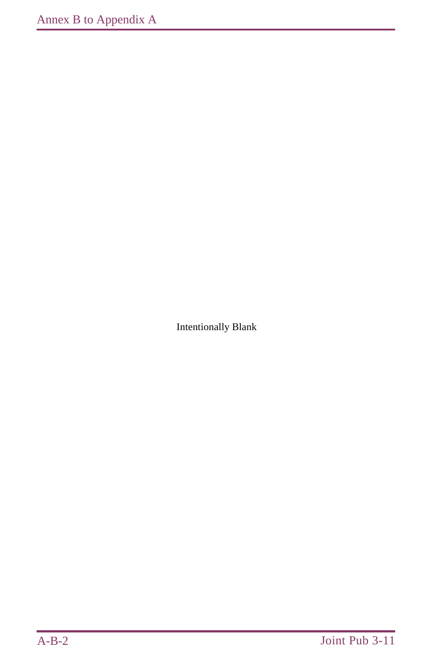Intentionally Blank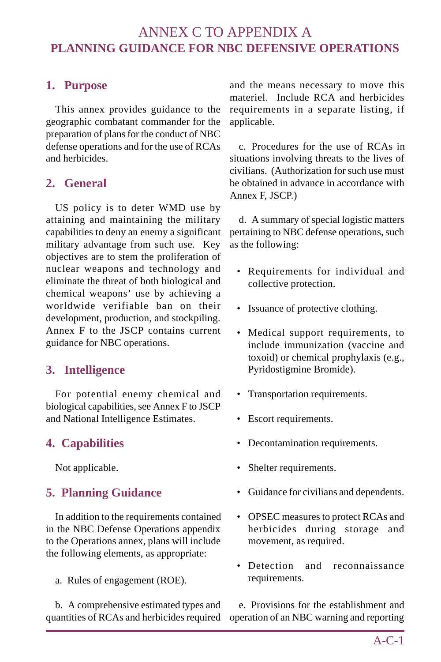# ANNEX C TO APPENDIX A **PLANNING GUIDANCE FOR NBC DEFENSIVE OPERATIONS**

# **1. Purpose**

This annex provides guidance to the geographic combatant commander for the preparation of plans for the conduct of NBC defense operations and for the use of RCAs and herbicides.

# **2. General**

US policy is to deter WMD use by attaining and maintaining the military capabilities to deny an enemy a significant military advantage from such use. Key objectives are to stem the proliferation of nuclear weapons and technology and eliminate the threat of both biological and chemical weapons' use by achieving a worldwide verifiable ban on their development, production, and stockpiling. Annex F to the JSCP contains current guidance for NBC operations.

# **3. Intelligence**

For potential enemy chemical and biological capabilities, see Annex F to JSCP and National Intelligence Estimates.

# **4. Capabilities**

Not applicable.

# **5. Planning Guidance**

In addition to the requirements contained in the NBC Defense Operations appendix to the Operations annex, plans will include the following elements, as appropriate:

a. Rules of engagement (ROE).

b. A comprehensive estimated types and quantities of RCAs and herbicides required

and the means necessary to move this materiel. Include RCA and herbicides requirements in a separate listing, if applicable.

c. Procedures for the use of RCAs in situations involving threats to the lives of civilians. (Authorization for such use must be obtained in advance in accordance with Annex F, JSCP.)

d. A summary of special logistic matters pertaining to NBC defense operations, such as the following:

- Requirements for individual and collective protection.
- Issuance of protective clothing.
- Medical support requirements, to include immunization (vaccine and toxoid) or chemical prophylaxis (e.g., Pyridostigmine Bromide).
- Transportation requirements.
- Escort requirements.
- Decontamination requirements.
- Shelter requirements.
- Guidance for civilians and dependents.
- OPSEC measures to protect RCAs and herbicides during storage and movement, as required.
- Detection and reconnaissance requirements.

e. Provisions for the establishment and operation of an NBC warning and reporting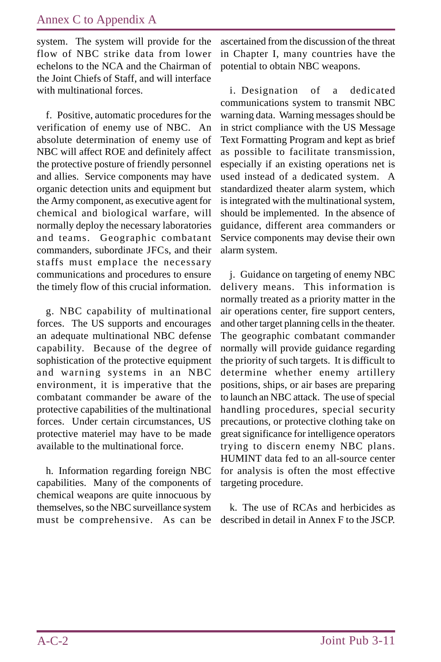# Annex C to Appendix A

system. The system will provide for the flow of NBC strike data from lower echelons to the NCA and the Chairman of the Joint Chiefs of Staff, and will interface with multinational forces.

f. Positive, automatic procedures for the verification of enemy use of NBC. An absolute determination of enemy use of NBC will affect ROE and definitely affect the protective posture of friendly personnel and allies. Service components may have organic detection units and equipment but the Army component, as executive agent for chemical and biological warfare, will normally deploy the necessary laboratories and teams. Geographic combatant commanders, subordinate JFCs, and their staffs must emplace the necessary communications and procedures to ensure the timely flow of this crucial information.

g. NBC capability of multinational forces. The US supports and encourages an adequate multinational NBC defense capability. Because of the degree of sophistication of the protective equipment and warning systems in an NBC environment, it is imperative that the combatant commander be aware of the protective capabilities of the multinational forces. Under certain circumstances, US protective materiel may have to be made available to the multinational force.

h. Information regarding foreign NBC capabilities. Many of the components of chemical weapons are quite innocuous by themselves, so the NBC surveillance system must be comprehensive. As can be ascertained from the discussion of the threat in Chapter I, many countries have the potential to obtain NBC weapons.

i. Designation of a dedicated communications system to transmit NBC warning data. Warning messages should be in strict compliance with the US Message Text Formatting Program and kept as brief as possible to facilitate transmission, especially if an existing operations net is used instead of a dedicated system. A standardized theater alarm system, which is integrated with the multinational system, should be implemented. In the absence of guidance, different area commanders or Service components may devise their own alarm system.

j. Guidance on targeting of enemy NBC delivery means. This information is normally treated as a priority matter in the air operations center, fire support centers, and other target planning cells in the theater. The geographic combatant commander normally will provide guidance regarding the priority of such targets. It is difficult to determine whether enemy artillery positions, ships, or air bases are preparing to launch an NBC attack. The use of special handling procedures, special security precautions, or protective clothing take on great significance for intelligence operators trying to discern enemy NBC plans. HUMINT data fed to an all-source center for analysis is often the most effective targeting procedure.

k. The use of RCAs and herbicides as described in detail in Annex F to the JSCP.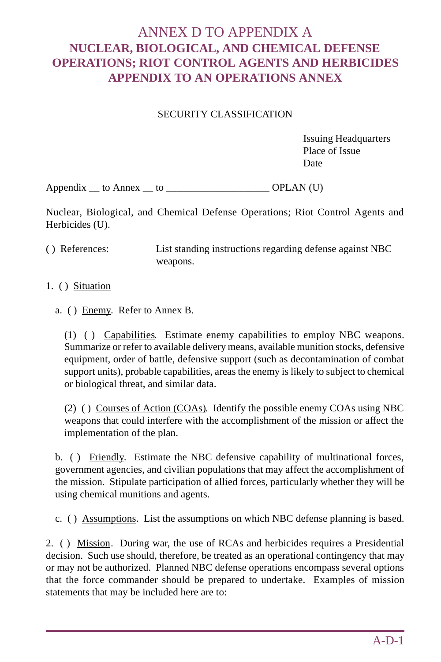# <span id="page-67-0"></span>ANNEX D TO APPENDIX A **NUCLEAR, BIOLOGICAL, AND CHEMICAL DEFENSE OPERATIONS; RIOT CONTROL AGENTS AND HERBICIDES APPENDIX TO AN OPERATIONS ANNEX**

#### SECURITY CLASSIFICATION

Issuing Headquarters Place of Issue Date

Appendix \_\_ to Annex \_\_ to \_\_\_\_\_\_\_\_\_\_\_\_\_\_\_\_\_\_\_\_ OPLAN (U)

Nuclear, Biological, and Chemical Defense Operations; Riot Control Agents and Herbicides (U).

- ( ) References: List standing instructions regarding defense against NBC weapons.
- 1. ( ) Situation
	- a. ( ) Enemy. Refer to Annex B.

(1) ( ) Capabilities. Estimate enemy capabilities to employ NBC weapons. Summarize or refer to available delivery means, available munition stocks, defensive equipment, order of battle, defensive support (such as decontamination of combat support units), probable capabilities, areas the enemy is likely to subject to chemical or biological threat, and similar data.

(2) ( ) Courses of Action (COAs). Identify the possible enemy COAs using NBC weapons that could interfere with the accomplishment of the mission or affect the implementation of the plan.

b. ( ) Friendly. Estimate the NBC defensive capability of multinational forces, government agencies, and civilian populations that may affect the accomplishment of the mission. Stipulate participation of allied forces, particularly whether they will be using chemical munitions and agents.

c. ( ) Assumptions. List the assumptions on which NBC defense planning is based.

2. ( ) Mission. During war, the use of RCAs and herbicides requires a Presidential decision. Such use should, therefore, be treated as an operational contingency that may or may not be authorized. Planned NBC defense operations encompass several options that the force commander should be prepared to undertake. Examples of mission statements that may be included here are to: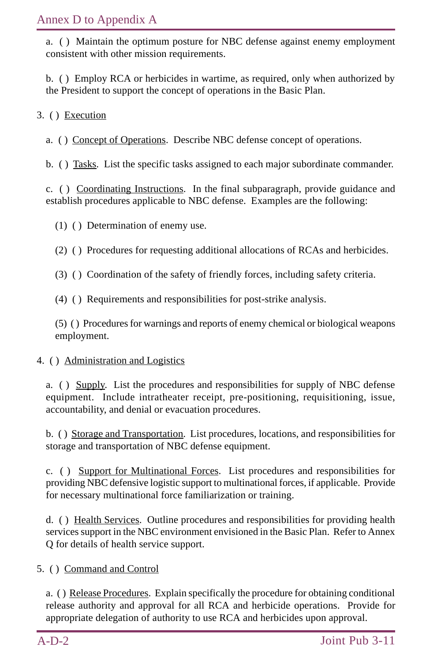a. ( ) Maintain the optimum posture for NBC defense against enemy employment consistent with other mission requirements.

b. ( ) Employ RCA or herbicides in wartime, as required, only when authorized by the President to support the concept of operations in the Basic Plan.

#### 3. ( ) Execution

a. ( ) Concept of Operations. Describe NBC defense concept of operations.

b. () Tasks. List the specific tasks assigned to each major subordinate commander.

c. ( ) Coordinating Instructions. In the final subparagraph, provide guidance and establish procedures applicable to NBC defense. Examples are the following:

- (1) ( ) Determination of enemy use.
- (2) ( ) Procedures for requesting additional allocations of RCAs and herbicides.
- (3) ( ) Coordination of the safety of friendly forces, including safety criteria.
- (4) ( ) Requirements and responsibilities for post-strike analysis.

(5) ( ) Procedures for warnings and reports of enemy chemical or biological weapons employment.

#### 4. ( ) Administration and Logistics

a. ( ) Supply. List the procedures and responsibilities for supply of NBC defense equipment. Include intratheater receipt, pre-positioning, requisitioning, issue, accountability, and denial or evacuation procedures.

b. () Storage and Transportation. List procedures, locations, and responsibilities for storage and transportation of NBC defense equipment.

c. ( ) Support for Multinational Forces. List procedures and responsibilities for providing NBC defensive logistic support to multinational forces, if applicable. Provide for necessary multinational force familiarization or training.

d. ( ) Health Services. Outline procedures and responsibilities for providing health services support in the NBC environment envisioned in the Basic Plan. Refer to Annex Q for details of health service support.

#### 5. ( ) Command and Control

a. () Release Procedures. Explain specifically the procedure for obtaining conditional release authority and approval for all RCA and herbicide operations. Provide for appropriate delegation of authority to use RCA and herbicides upon approval.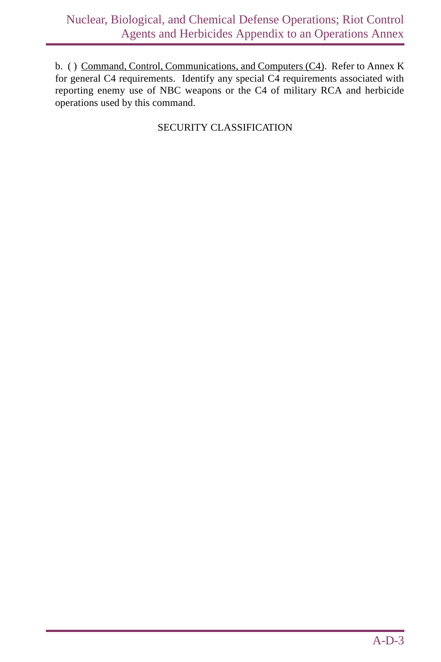b. ( ) Command, Control, Communications, and Computers (C4). Refer to Annex K for general C4 requirements. Identify any special C4 requirements associated with reporting enemy use of NBC weapons or the C4 of military RCA and herbicide operations used by this command.

SECURITY CLASSIFICATION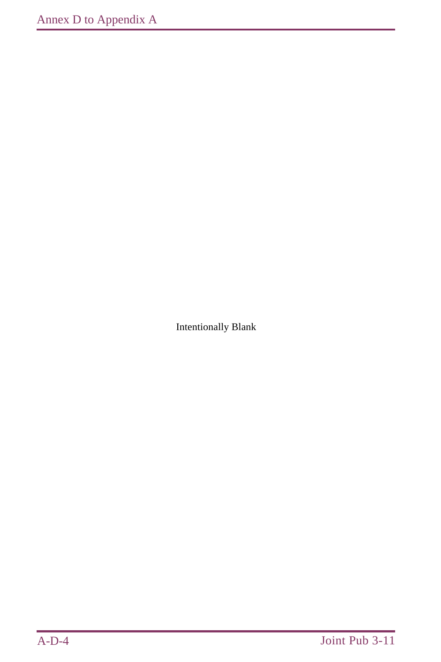Intentionally Blank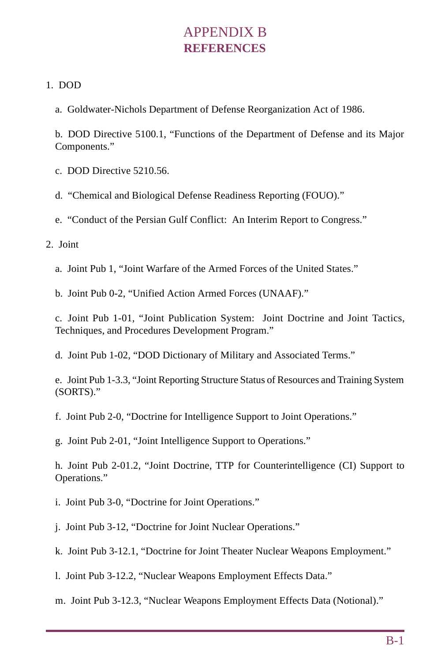# APPENDIX B **REFERENCES**

#### 1. DOD

a. Goldwater-Nichols Department of Defense Reorganization Act of 1986.

b. DOD Directive 5100.1, "Functions of the Department of Defense and its Major Components."

- c. DOD Directive 5210.56.
- d. "Chemical and Biological Defense Readiness Reporting (FOUO)."
- e. "Conduct of the Persian Gulf Conflict: An Interim Report to Congress."
- 2. Joint
	- a. Joint Pub 1, "Joint Warfare of the Armed Forces of the United States."
	- b. Joint Pub 0-2, "Unified Action Armed Forces (UNAAF)."

c. Joint Pub 1-01, "Joint Publication System: Joint Doctrine and Joint Tactics, Techniques, and Procedures Development Program."

d. Joint Pub 1-02, "DOD Dictionary of Military and Associated Terms."

e. Joint Pub 1-3.3, "Joint Reporting Structure Status of Resources and Training System (SORTS)."

- f. Joint Pub 2-0, "Doctrine for Intelligence Support to Joint Operations."
- g. Joint Pub 2-01, "Joint Intelligence Support to Operations."

h. Joint Pub 2-01.2, "Joint Doctrine, TTP for Counterintelligence (CI) Support to Operations."

- i. Joint Pub 3-0, "Doctrine for Joint Operations."
- j. Joint Pub 3-12, "Doctrine for Joint Nuclear Operations."
- k. Joint Pub 3-12.1, "Doctrine for Joint Theater Nuclear Weapons Employment."
- l. Joint Pub 3-12.2, "Nuclear Weapons Employment Effects Data."
- m. Joint Pub 3-12.3, "Nuclear Weapons Employment Effects Data (Notional)."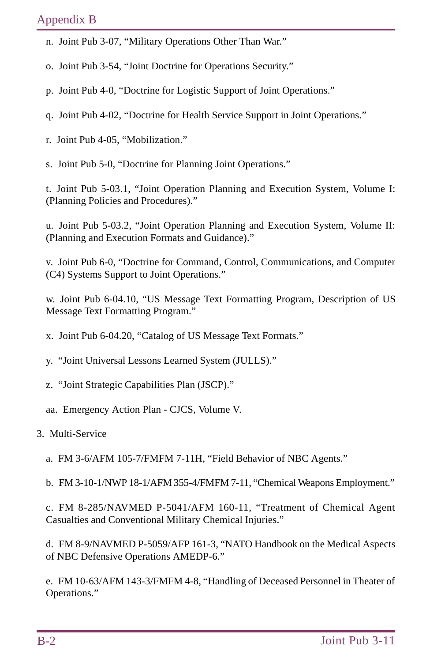- n. Joint Pub 3-07, "Military Operations Other Than War."
- o. Joint Pub 3-54, "Joint Doctrine for Operations Security."
- p. Joint Pub 4-0, "Doctrine for Logistic Support of Joint Operations."
- q. Joint Pub 4-02, "Doctrine for Health Service Support in Joint Operations."
- r. Joint Pub 4-05, "Mobilization."
- s. Joint Pub 5-0, "Doctrine for Planning Joint Operations."

t. Joint Pub 5-03.1, "Joint Operation Planning and Execution System, Volume I: (Planning Policies and Procedures)."

u. Joint Pub 5-03.2, "Joint Operation Planning and Execution System, Volume II: (Planning and Execution Formats and Guidance)."

v. Joint Pub 6-0, "Doctrine for Command, Control, Communications, and Computer (C4) Systems Support to Joint Operations."

w. Joint Pub 6-04.10, "US Message Text Formatting Program, Description of US Message Text Formatting Program."

x. Joint Pub 6-04.20, "Catalog of US Message Text Formats."

- y. "Joint Universal Lessons Learned System (JULLS)."
- z. "Joint Strategic Capabilities Plan (JSCP)."
- aa. Emergency Action Plan CJCS, Volume V.

#### 3. Multi-Service

a. FM 3-6/AFM 105-7/FMFM 7-11H, "Field Behavior of NBC Agents."

b. FM 3-10-1/NWP 18-1/AFM 355-4/FMFM 7-11, "Chemical Weapons Employment."

c. FM 8-285/NAVMED P-5041/AFM 160-11, "Treatment of Chemical Agent Casualties and Conventional Military Chemical Injuries."

d. FM 8-9/NAVMED P-5059/AFP 161-3, "NATO Handbook on the Medical Aspects of NBC Defensive Operations AMEDP-6."

e. FM 10-63/AFM 143-3/FMFM 4-8, "Handling of Deceased Personnel in Theater of Operations."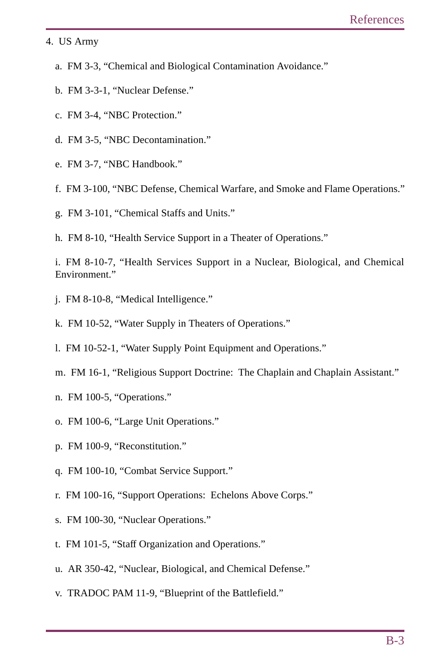#### 4. US Army

- a. FM 3-3, "Chemical and Biological Contamination Avoidance."
- b. FM 3-3-1, "Nuclear Defense."
- c. FM 3-4, "NBC Protection."
- d. FM 3-5, "NBC Decontamination."
- e. FM 3-7, "NBC Handbook."
- f. FM 3-100, "NBC Defense, Chemical Warfare, and Smoke and Flame Operations."
- g. FM 3-101, "Chemical Staffs and Units."
- h. FM 8-10, "Health Service Support in a Theater of Operations."

i. FM 8-10-7, "Health Services Support in a Nuclear, Biological, and Chemical Environment."

- j. FM 8-10-8, "Medical Intelligence."
- k. FM 10-52, "Water Supply in Theaters of Operations."
- l. FM 10-52-1, "Water Supply Point Equipment and Operations."
- m. FM 16-1, "Religious Support Doctrine: The Chaplain and Chaplain Assistant."
- n. FM 100-5, "Operations."
- o. FM 100-6, "Large Unit Operations."
- p. FM 100-9, "Reconstitution."
- q. FM 100-10, "Combat Service Support."
- r. FM 100-16, "Support Operations: Echelons Above Corps."
- s. FM 100-30, "Nuclear Operations."
- t. FM 101-5, "Staff Organization and Operations."
- u. AR 350-42, "Nuclear, Biological, and Chemical Defense."
- v. TRADOC PAM 11-9, "Blueprint of the Battlefield."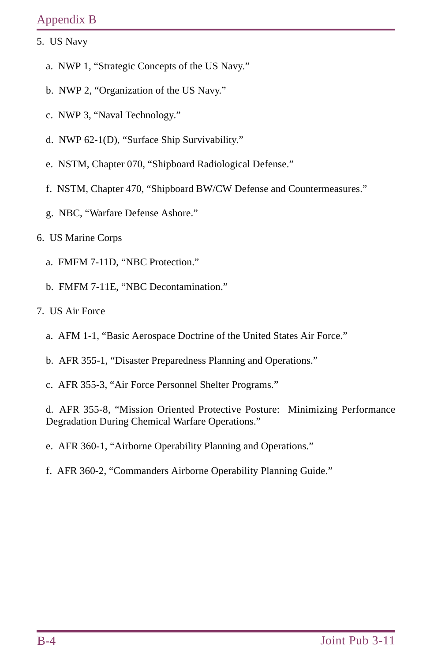### Appendix B

- 5. US Navy
	- a. NWP 1, "Strategic Concepts of the US Navy."
	- b. NWP 2, "Organization of the US Navy."
	- c. NWP 3, "Naval Technology."
	- d. NWP 62-1(D), "Surface Ship Survivability."
	- e. NSTM, Chapter 070, "Shipboard Radiological Defense."
	- f. NSTM, Chapter 470, "Shipboard BW/CW Defense and Countermeasures."
	- g. NBC, "Warfare Defense Ashore."
- 6. US Marine Corps
	- a. FMFM 7-11D, "NBC Protection."
	- b. FMFM 7-11E, "NBC Decontamination."
- 7. US Air Force
	- a. AFM 1-1, "Basic Aerospace Doctrine of the United States Air Force."
	- b. AFR 355-1, "Disaster Preparedness Planning and Operations."
	- c. AFR 355-3, "Air Force Personnel Shelter Programs."

d. AFR 355-8, "Mission Oriented Protective Posture: Minimizing Performance Degradation During Chemical Warfare Operations."

- e. AFR 360-1, "Airborne Operability Planning and Operations."
- f. AFR 360-2, "Commanders Airborne Operability Planning Guide."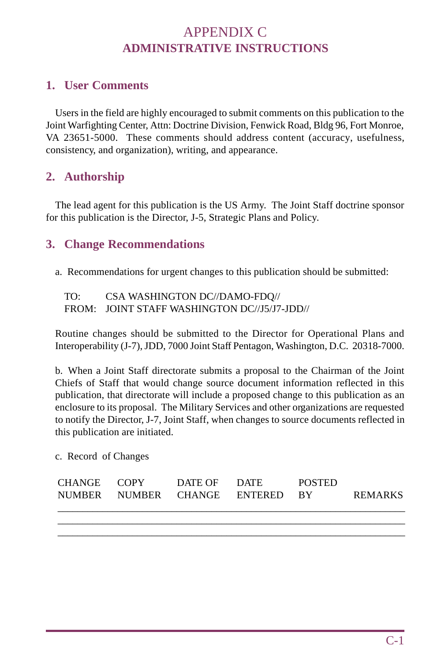# APPENDIX C **ADMINISTRATIVE INSTRUCTIONS**

#### **1. User Comments**

Users in the field are highly encouraged to submit comments on this publication to the Joint Warfighting Center, Attn: Doctrine Division, Fenwick Road, Bldg 96, Fort Monroe, VA 23651-5000. These comments should address content (accuracy, usefulness, consistency, and organization), writing, and appearance.

### **2. Authorship**

The lead agent for this publication is the US Army. The Joint Staff doctrine sponsor for this publication is the Director, J-5, Strategic Plans and Policy.

### **3. Change Recommendations**

a. Recommendations for urgent changes to this publication should be submitted:

TO: CSA WASHINGTON DC//DAMO-FDQ// FROM: JOINT STAFF WASHINGTON DC//J5/J7-JDD//

Routine changes should be submitted to the Director for Operational Plans and Interoperability (J-7), JDD, 7000 Joint Staff Pentagon, Washington, D.C. 20318-7000.

b. When a Joint Staff directorate submits a proposal to the Chairman of the Joint Chiefs of Staff that would change source document information reflected in this publication, that directorate will include a proposed change to this publication as an enclosure to its proposal. The Military Services and other organizations are requested to notify the Director, J-7, Joint Staff, when changes to source documents reflected in this publication are initiated.

c. Record of Changes

| CHANGE | COPY<br>NUMBER NUMBER CHANGE | DATE OF | <b>DATE</b><br>ENTERED | <b>POSTED</b><br>ВY | <b>REMARKS</b> |
|--------|------------------------------|---------|------------------------|---------------------|----------------|
|--------|------------------------------|---------|------------------------|---------------------|----------------|

\_\_\_\_\_\_\_\_\_\_\_\_\_\_\_\_\_\_\_\_\_\_\_\_\_\_\_\_\_\_\_\_\_\_\_\_\_\_\_\_\_\_\_\_\_\_\_\_\_\_\_\_\_\_\_\_\_\_\_\_\_\_\_\_\_\_\_\_\_\_ \_\_\_\_\_\_\_\_\_\_\_\_\_\_\_\_\_\_\_\_\_\_\_\_\_\_\_\_\_\_\_\_\_\_\_\_\_\_\_\_\_\_\_\_\_\_\_\_\_\_\_\_\_\_\_\_\_\_\_\_\_\_\_\_\_\_\_\_\_\_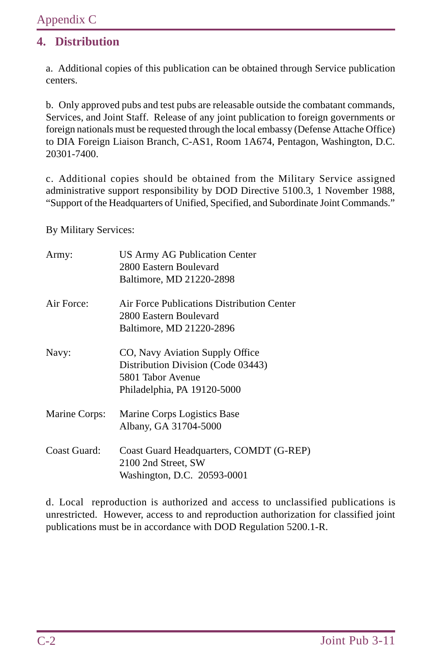## **4. Distribution**

a. Additional copies of this publication can be obtained through Service publication centers.

b. Only approved pubs and test pubs are releasable outside the combatant commands, Services, and Joint Staff. Release of any joint publication to foreign governments or foreign nationals must be requested through the local embassy (Defense Attache Office) to DIA Foreign Liaison Branch, C-AS1, Room 1A674, Pentagon, Washington, D.C. 20301-7400.

c. Additional copies should be obtained from the Military Service assigned administrative support responsibility by DOD Directive 5100.3, 1 November 1988, "Support of the Headquarters of Unified, Specified, and Subordinate Joint Commands."

By Military Services:

| Army:         | US Army AG Publication Center<br>2800 Eastern Boulevard<br>Baltimore, MD 21220-2898                                       |
|---------------|---------------------------------------------------------------------------------------------------------------------------|
| Air Force:    | Air Force Publications Distribution Center<br>2800 Eastern Boulevard<br>Baltimore, MD 21220-2896                          |
| Navy:         | CO, Navy Aviation Supply Office<br>Distribution Division (Code 03443)<br>5801 Tabor Avenue<br>Philadelphia, PA 19120-5000 |
| Marine Corps: | Marine Corps Logistics Base<br>Albany, GA 31704-5000                                                                      |
| Coast Guard:  | Coast Guard Headquarters, COMDT (G-REP)<br>2100 2nd Street, SW<br>Washington, D.C. 20593-0001                             |

d. Local reproduction is authorized and access to unclassified publications is unrestricted. However, access to and reproduction authorization for classified joint publications must be in accordance with DOD Regulation 5200.1-R.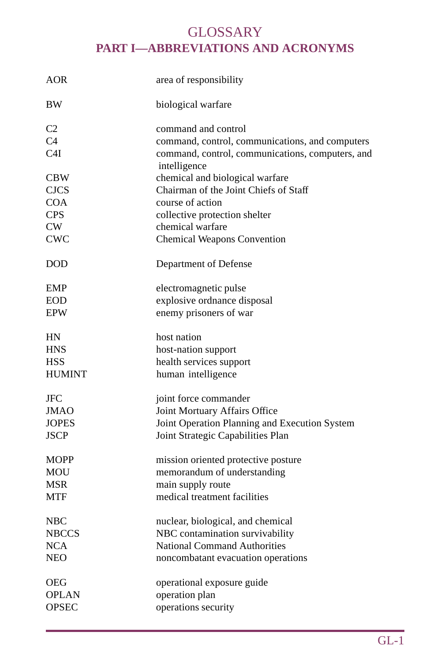# GLOSSARY **PART I—ABBREVIATIONS AND ACRONYMS**

| <b>AOR</b>     | area of responsibility                                           |
|----------------|------------------------------------------------------------------|
| BW             | biological warfare                                               |
| C <sub>2</sub> | command and control                                              |
| C <sub>4</sub> | command, control, communications, and computers                  |
| C4I            | command, control, communications, computers, and<br>intelligence |
| <b>CBW</b>     | chemical and biological warfare                                  |
| <b>CJCS</b>    | Chairman of the Joint Chiefs of Staff                            |
| <b>COA</b>     | course of action                                                 |
| <b>CPS</b>     | collective protection shelter                                    |
| <b>CW</b>      | chemical warfare                                                 |
| <b>CWC</b>     | <b>Chemical Weapons Convention</b>                               |
| <b>DOD</b>     | Department of Defense                                            |
| <b>EMP</b>     | electromagnetic pulse                                            |
| <b>EOD</b>     | explosive ordnance disposal                                      |
| <b>EPW</b>     | enemy prisoners of war                                           |
| HN             | host nation                                                      |
| <b>HNS</b>     | host-nation support                                              |
| <b>HSS</b>     | health services support                                          |
| <b>HUMINT</b>  | human intelligence                                               |
| JFC            | joint force commander                                            |
| <b>JMAO</b>    | Joint Mortuary Affairs Office                                    |
| <b>JOPES</b>   | Joint Operation Planning and Execution System                    |
| <b>JSCP</b>    | Joint Strategic Capabilities Plan                                |
| <b>MOPP</b>    | mission oriented protective posture                              |
| MOU            | memorandum of understanding                                      |
| <b>MSR</b>     | main supply route                                                |
| <b>MTF</b>     | medical treatment facilities                                     |
| <b>NBC</b>     | nuclear, biological, and chemical                                |
| <b>NBCCS</b>   | NBC contamination survivability                                  |
| <b>NCA</b>     | <b>National Command Authorities</b>                              |
| <b>NEO</b>     | noncombatant evacuation operations                               |
| <b>OEG</b>     | operational exposure guide                                       |
| <b>OPLAN</b>   | operation plan                                                   |
| <b>OPSEC</b>   | operations security                                              |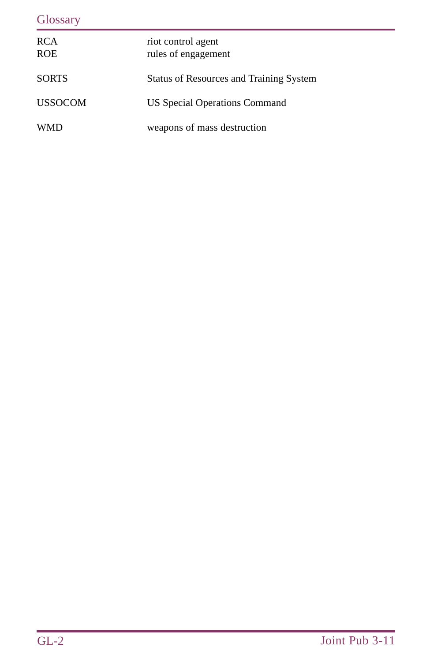# **Glossary**

| <b>RCA</b><br><b>ROE</b> | riot control agent<br>rules of engagement      |
|--------------------------|------------------------------------------------|
| <b>SORTS</b>             | <b>Status of Resources and Training System</b> |
| <b>USSOCOM</b>           | US Special Operations Command                  |
| <b>WMD</b>               | weapons of mass destruction                    |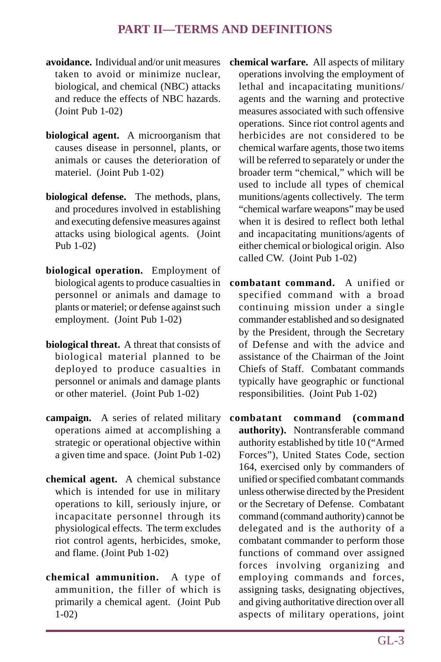#### **PART II—TERMS AND DEFINITIONS**

- **avoidance.** Individual and/or unit measures taken to avoid or minimize nuclear, biological, and chemical (NBC) attacks and reduce the effects of NBC hazards. (Joint Pub 1-02)
- **biological agent.** A microorganism that causes disease in personnel, plants, or animals or causes the deterioration of materiel. (Joint Pub 1-02)
- **biological defense.** The methods, plans, and procedures involved in establishing and executing defensive measures against attacks using biological agents. (Joint Pub 1-02)
- **biological operation.** Employment of biological agents to produce casualties in personnel or animals and damage to plants or materiel; or defense against such employment. (Joint Pub 1-02)
- **biological threat.** A threat that consists of biological material planned to be deployed to produce casualties in personnel or animals and damage plants or other materiel. (Joint Pub 1-02)
- **campaign.** A series of related military operations aimed at accomplishing a strategic or operational objective within a given time and space. (Joint Pub 1-02)
- **chemical agent.** A chemical substance which is intended for use in military operations to kill, seriously injure, or incapacitate personnel through its physiological effects. The term excludes riot control agents, herbicides, smoke, and flame. (Joint Pub 1-02)
- **chemical ammunition.** A type of ammunition, the filler of which is primarily a chemical agent. (Joint Pub 1-02)
- **chemical warfare.** All aspects of military operations involving the employment of lethal and incapacitating munitions/ agents and the warning and protective measures associated with such offensive operations. Since riot control agents and herbicides are not considered to be chemical warfare agents, those two items will be referred to separately or under the broader term "chemical," which will be used to include all types of chemical munitions/agents collectively. The term "chemical warfare weapons" may be used when it is desired to reflect both lethal and incapacitating munitions/agents of either chemical or biological origin. Also called CW. (Joint Pub 1-02)
- **combatant command.** A unified or specified command with a broad continuing mission under a single commander established and so designated by the President, through the Secretary of Defense and with the advice and assistance of the Chairman of the Joint Chiefs of Staff. Combatant commands typically have geographic or functional responsibilities. (Joint Pub 1-02)
- **combatant command (command authority).** Nontransferable command authority established by title 10 ("Armed Forces"), United States Code, section 164, exercised only by commanders of unified or specified combatant commands unless otherwise directed by the President or the Secretary of Defense. Combatant command (command authority) cannot be delegated and is the authority of a combatant commander to perform those functions of command over assigned forces involving organizing and employing commands and forces, assigning tasks, designating objectives, and giving authoritative direction over all aspects of military operations, joint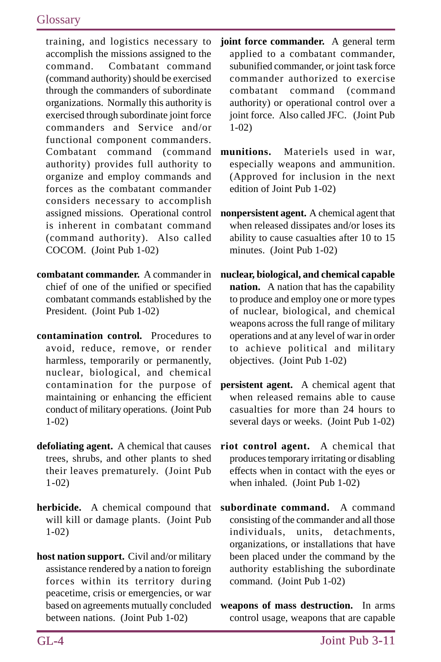training, and logistics necessary to accomplish the missions assigned to the command. Combatant command (command authority) should be exercised through the commanders of subordinate organizations. Normally this authority is exercised through subordinate joint force commanders and Service and/or functional component commanders. Combatant command (command authority) provides full authority to organize and employ commands and forces as the combatant commander considers necessary to accomplish assigned missions. Operational control is inherent in combatant command (command authority). Also called COCOM. (Joint Pub 1-02)

- **combatant commander.** A commander in chief of one of the unified or specified combatant commands established by the President. (Joint Pub 1-02)
- **contamination control.** Procedures to avoid, reduce, remove, or render harmless, temporarily or permanently, nuclear, biological, and chemical contamination for the purpose of maintaining or enhancing the efficient conduct of military operations. (Joint Pub 1-02)
- **defoliating agent.** A chemical that causes trees, shrubs, and other plants to shed their leaves prematurely. (Joint Pub 1-02)
- **herbicide.** A chemical compound that will kill or damage plants. (Joint Pub 1-02)
- **host nation support.** Civil and/or military assistance rendered by a nation to foreign forces within its territory during peacetime, crisis or emergencies, or war based on agreements mutually concluded between nations. (Joint Pub 1-02)
- **joint force commander.** A general term applied to a combatant commander, subunified commander, or joint task force commander authorized to exercise combatant command (command authority) or operational control over a joint force. Also called JFC. (Joint Pub 1-02)
- **munitions.** Materiels used in war, especially weapons and ammunition. (Approved for inclusion in the next edition of Joint Pub 1-02)
- **nonpersistent agent.** A chemical agent that when released dissipates and/or loses its ability to cause casualties after 10 to 15 minutes. (Joint Pub 1-02)
- **nuclear, biological, and chemical capable nation.** A nation that has the capability to produce and employ one or more types of nuclear, biological, and chemical weapons across the full range of military operations and at any level of war in order to achieve political and military objectives. (Joint Pub 1-02)
- **persistent agent.** A chemical agent that when released remains able to cause casualties for more than 24 hours to several days or weeks. (Joint Pub 1-02)
- **riot control agent.** A chemical that produces temporary irritating or disabling effects when in contact with the eyes or when inhaled. (Joint Pub 1-02)
- **subordinate command.** A command consisting of the commander and all those individuals, units, detachments, organizations, or installations that have been placed under the command by the authority establishing the subordinate command. (Joint Pub 1-02)
- **weapons of mass destruction.** In arms control usage, weapons that are capable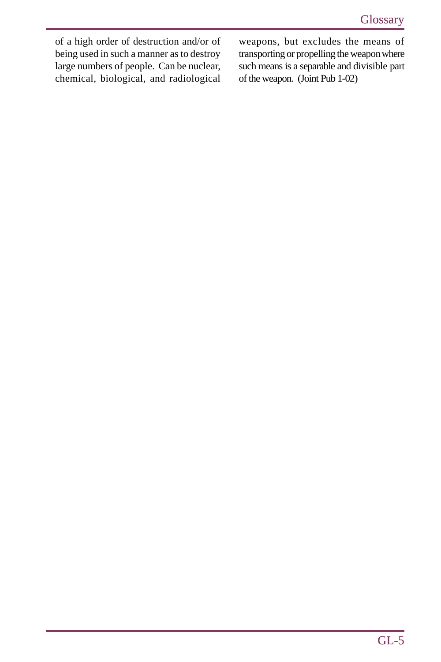of a high order of destruction and/or of being used in such a manner as to destroy large numbers of people. Can be nuclear, chemical, biological, and radiological

weapons, but excludes the means of transporting or propelling the weapon where such means is a separable and divisible part of the weapon. (Joint Pub 1-02)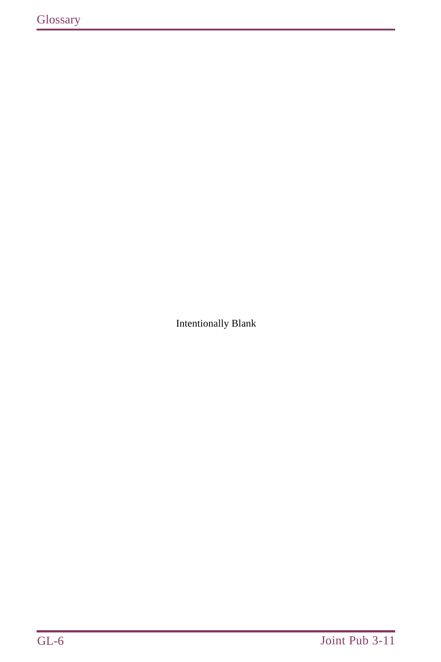Intentionally Blank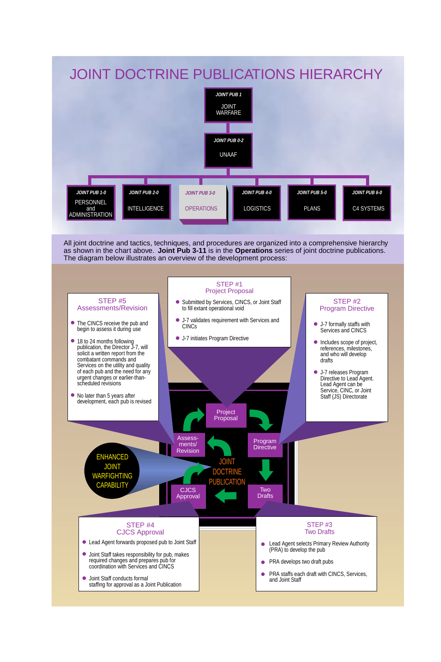